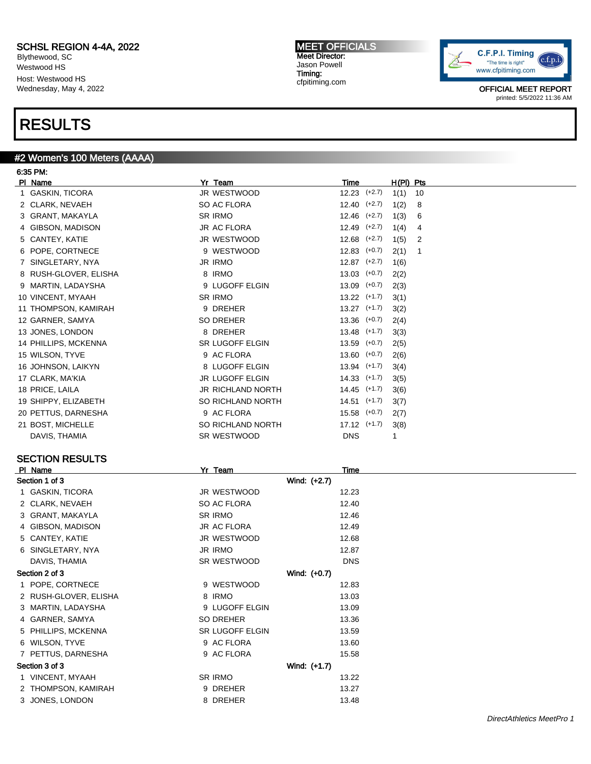Blythewood, SC Westwood HS Host: Westwood HS Wednesday, May 4, 2022

### RESULTS

#### #2 Women's 100 Meters (AAAA)

6:35 PM: Pl Name Yr Team Time H(Pl) Pts 1 GASKIN, TICORA **JR WESTWOOD** 12.23 (+2.7) 1(1) 10 2 CLARK, NEVAEH SO AC FLORA 12.40 (+2.7) 1(2) 8 3 GRANT, MAKAYLA SR IRMO 12.46 (+2.7) 1(3) 6 4 GIBSON, MADISON JR AC FLORA 12.49 (+2.7) 1(4) 4 5 CANTEY, KATIE JR WESTWOOD 12.68 (+2.7) 1(5) 2 6 POPE, CORTNECE 9 WESTWOOD 12.83 (+0.7) 2(1) 1 7 SINGLETARY, NYA JR IRMO 12.87 (+2.7) 1(6) 8 RUSH-GLOVER, ELISHA 8 IRMO 13.03 (+0.7) 2(2) 9 MARTIN, LADAYSHA 9 LUGOFF ELGIN 13.09 (+0.7) 2(3) 10 VINCENT, MYAAH SR IRMO 13.22 (+1.7) 3(1) 11 THOMPSON, KAMIRAH 9 DREHER 13.27 (+1.7) 3(2) 12 GARNER, SAMYA SO DREHER 13.36 (+0.7) 2(4) 13 JONES, LONDON 8 DREHER 13.48 (+1.7) 3(3) 14 PHILLIPS, MCKENNA SR LUGOFF ELGIN 13.59 (+0.7) 2(5) 15 WILSON, TYVE 9 AC FLORA 13.60 (+0.7) 2(6) 16 JOHNSON, LAIKYN 8 LUGOFF ELGIN 13.94 (+1.7) 3(4) 17 CLARK, MA'KIA 14.33 (+1.7) 3(5) 3(5) 3(5) 3(5) 3(5) 3(5) 3(6) 3(6) 3(6) 3(6) 3(6) 41.33 (+1.7) 3(5) 18 PRICE, LAILA JR RICHLAND NORTH 14.45 (+1.7) 3(6) 19 SHIPPY, ELIZABETH SO RICHLAND NORTH 14.51 (+1.7) 3(7) 20 PETTUS, DARNESHA 9 AC FLORA 15.58 (+0.7) 2(7) 21 BOST, MICHELLE SO RICHLAND NORTH 17.12 (+1.7) 3(8) DAVIS, THAMIA GALLACHER SR WESTWOOD DIS DISTURBLY A LOCAL DISTURBLY A LOCAL DISTURBLY A LOCAL DISTURBLY A LOCAL DISTURBLY A LOCAL DISTURBLY A LOCAL DISTURBLY A LOCAL DISTURBLY A LOCAL DISTURBLY A LOCAL DISTURBLY A LOCAL DI SECTION RESULTS Pl Name Yr Team Time Section 1 of 3 Wind: (+2.7)

| Section 1 of 3        |                 | Wind: (+2.7) |
|-----------------------|-----------------|--------------|
| 1 GASKIN, TICORA      | JR WESTWOOD     | 12.23        |
| 2 CLARK, NEVAEH       | SO AC FLORA     | 12.40        |
| 3 GRANT, MAKAYLA      | SR IRMO         | 12.46        |
| 4 GIBSON, MADISON     | JR AC FLORA     | 12.49        |
| 5 CANTEY, KATIE       | JR WESTWOOD     | 12.68        |
| 6 SINGLETARY, NYA     | JR IRMO         | 12.87        |
| DAVIS, THAMIA         | SR WESTWOOD     | <b>DNS</b>   |
| Section 2 of 3        |                 | Wind: (+0.7) |
| 1 POPE, CORTNECE      | 9 WESTWOOD      | 12.83        |
| 2 RUSH-GLOVER, ELISHA | 8 IRMO          | 13.03        |
| 3 MARTIN, LADAYSHA    | 9 LUGOFF ELGIN  | 13.09        |
| 4 GARNER, SAMYA       | SO DREHER       | 13.36        |
| 5 PHILLIPS, MCKENNA   | SR LUGOFF ELGIN | 13.59        |
| 6 WILSON, TYVE        | 9 AC FLORA      | 13.60        |
| 7 PETTUS, DARNESHA    | 9 AC FLORA      | 15.58        |
| Section 3 of 3        |                 | Wind: (+1.7) |
| 1 VINCENT, MYAAH      | SR IRMO         | 13.22        |
| 2 THOMPSON, KAMIRAH   | 9 DREHER        | 13.27        |
| 3 JONES, LONDON       | 8 DREHER        | 13.48        |
|                       |                 |              |

MEET OFFICIALS Meet Director: Jason Powell Timing: cfpitiming.com

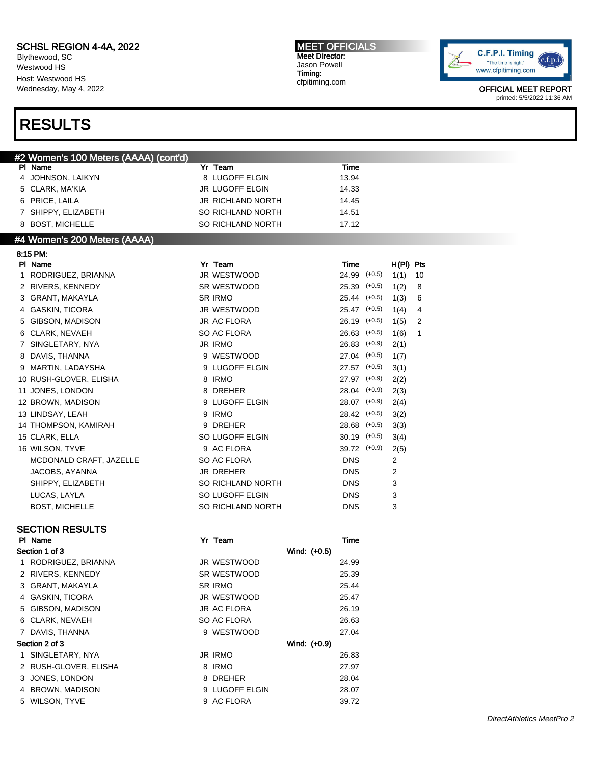Blythewood, SC Westwood HS Host: Westwood HS Wednesday, May 4, 2022 MEET OFFICIALS Meet Director: Jason Powell Timing: cfpitiming.com



OFFICIAL MEET REPORT printed: 5/5/2022 11:36 AM

### RESULTS

| #2 Women's 100 Meters (AAAA) (cont'd) |                          |       |  |
|---------------------------------------|--------------------------|-------|--|
| PI Name                               | Yr Team                  | Time  |  |
| 4 JOHNSON, LAIKYN                     | 8 LUGOFF ELGIN           | 13.94 |  |
| 5 CLARK, MA'KIA                       | <b>JR LUGOFF ELGIN</b>   | 14.33 |  |
| 6 PRICE, LAILA                        | <b>JR RICHLAND NORTH</b> | 14.45 |  |
| 7 SHIPPY, ELIZABETH                   | SO RICHLAND NORTH        | 14.51 |  |
| 8 BOST, MICHELLE                      | SO RICHLAND NORTH        | 17.12 |  |
| .<br>.<br>.                           |                          |       |  |

#### #4 Women's 200 Meters (AAAA)

| 8:15 PM.                |                   |                  |          |             |    |
|-------------------------|-------------------|------------------|----------|-------------|----|
| PI Name                 | Yr Team           | Time             |          | $H(PI)$ Pts |    |
| 1 RODRIGUEZ, BRIANNA    | JR WESTWOOD       | 24.99            | $(+0.5)$ | 1(1)        | 10 |
| 2 RIVERS, KENNEDY       | SR WESTWOOD       | 25.39            | $(+0.5)$ | 1(2)        | 8  |
| 3 GRANT, MAKAYLA        | <b>SR IRMO</b>    | $25.44$ $(+0.5)$ |          | 1(3)        | 6  |
| 4 GASKIN, TICORA        | JR WESTWOOD       | 25.47            | $(+0.5)$ | 1(4)        | 4  |
| 5 GIBSON, MADISON       | JR AC FLORA       | 26.19            | $(+0.5)$ | 1(5)        | 2  |
| 6 CLARK, NEVAEH         | SO AC FLORA       | 26.63            | $(+0.5)$ | 1(6)        | 1  |
| 7 SINGLETARY, NYA       | <b>JR IRMO</b>    | 26.83            | $(+0.9)$ | 2(1)        |    |
| 8 DAVIS, THANNA         | 9 WESTWOOD        | $27.04$ (+0.5)   |          | 1(7)        |    |
| 9 MARTIN, LADAYSHA      | 9 LUGOFF ELGIN    | 27.57            | $(+0.5)$ | 3(1)        |    |
| 10 RUSH-GLOVER, ELISHA  | 8 IRMO            | 27.97            | $(+0.9)$ | 2(2)        |    |
| 11 JONES, LONDON        | 8 DREHER          | $28.04$ $(+0.9)$ |          | 2(3)        |    |
| 12 BROWN, MADISON       | 9 LUGOFF ELGIN    | 28.07            | $(+0.9)$ | 2(4)        |    |
| 13 LINDSAY, LEAH        | 9 IRMO            | 28.42            | $(+0.5)$ | 3(2)        |    |
| 14 THOMPSON, KAMIRAH    | 9 DREHER          | 28.68            | $(+0.5)$ | 3(3)        |    |
| 15 CLARK, ELLA          | SO LUGOFF ELGIN   | 30.19            | $(+0.5)$ | 3(4)        |    |
| 16 WILSON, TYVE         | 9 AC FLORA        | 39.72            | $(+0.9)$ | 2(5)        |    |
| MCDONALD CRAFT, JAZELLE | SO AC FLORA       | <b>DNS</b>       |          | 2           |    |
| JACOBS, AYANNA          | JR DREHER         | <b>DNS</b>       |          | 2           |    |
| SHIPPY, ELIZABETH       | SO RICHLAND NORTH | <b>DNS</b>       |          | 3           |    |
| LUCAS, LAYLA            | SO LUGOFF ELGIN   | <b>DNS</b>       |          | 3           |    |
| <b>BOST, MICHELLE</b>   | SO RICHLAND NORTH | <b>DNS</b>       |          | 3           |    |

# SECTION RESULTS

| PI Name               | Yr Team            | Time  |  |
|-----------------------|--------------------|-------|--|
| Section 1 of 3        | Wind: (+0.5)       |       |  |
| 1 RODRIGUEZ, BRIANNA  | JR WESTWOOD        | 24.99 |  |
| 2 RIVERS, KENNEDY     | SR WESTWOOD        | 25.39 |  |
| 3 GRANT, MAKAYLA      | <b>SR IRMO</b>     | 25.44 |  |
| 4 GASKIN, TICORA      | JR WESTWOOD        | 25.47 |  |
| 5 GIBSON, MADISON     | <b>JR AC FLORA</b> | 26.19 |  |
| 6 CLARK, NEVAEH       | SO AC FLORA        | 26.63 |  |
| 7 DAVIS, THANNA       | 9 WESTWOOD         | 27.04 |  |
| Section 2 of 3        | Wind: (+0.9)       |       |  |
| 1 SINGLETARY, NYA     | <b>JR IRMO</b>     | 26.83 |  |
| 2 RUSH-GLOVER, ELISHA | 8 IRMO             | 27.97 |  |
| 3 JONES, LONDON       | 8 DREHER           | 28.04 |  |
| 4 BROWN, MADISON      | 9 LUGOFF ELGIN     | 28.07 |  |
| 5 WILSON, TYVE        | 9 AC FLORA         | 39.72 |  |
|                       |                    |       |  |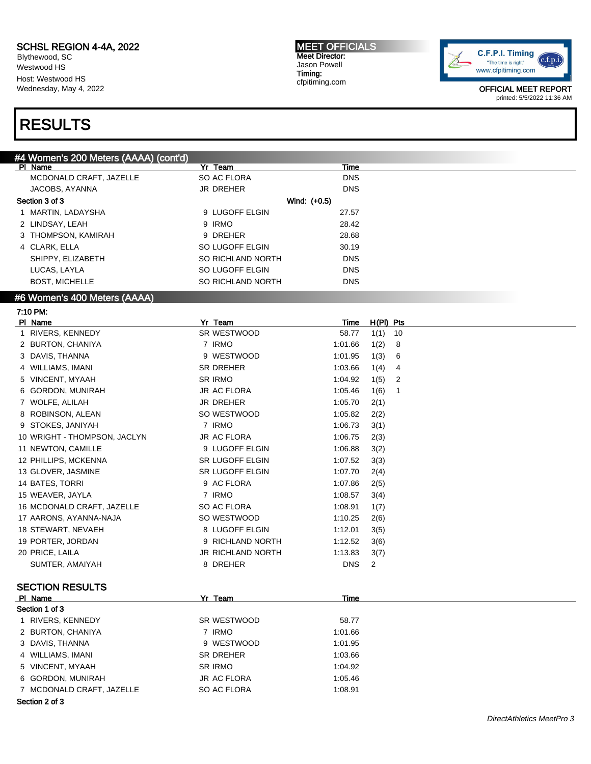Blythewood, SC Westwood HS Host: Westwood HS Wednesday, May 4, 2022 MEET OFFICIALS Meet Director: Jason Powell Timing: cfpitiming.com



OFFICIAL MEET REPORT printed: 5/5/2022 11:36 AM

### RESULTS

#### #4 Women's 200 Meters (AAAA) (cont'd)

| $\frac{1}{2}$<br><u>oon ay</u><br>PI Name | Yr Team                                         | Time           |             |    |
|-------------------------------------------|-------------------------------------------------|----------------|-------------|----|
| MCDONALD CRAFT, JAZELLE                   | SO AC FLORA                                     | <b>DNS</b>     |             |    |
| JACOBS, AYANNA                            | <b>JR DREHER</b>                                | <b>DNS</b>     |             |    |
| Section 3 of 3                            |                                                 | Wind: (+0.5)   |             |    |
| 1 MARTIN, LADAYSHA                        | 9 LUGOFF ELGIN                                  | 27.57          |             |    |
| 2 LINDSAY, LEAH                           | 9 IRMO                                          | 28.42          |             |    |
| 3 THOMPSON, KAMIRAH                       | 9 DREHER                                        | 28.68          |             |    |
| 4 CLARK, ELLA                             | SO LUGOFF ELGIN                                 | 30.19          |             |    |
| SHIPPY, ELIZABETH                         | SO RICHLAND NORTH                               | <b>DNS</b>     |             |    |
| LUCAS, LAYLA                              | SO LUGOFF ELGIN                                 | <b>DNS</b>     |             |    |
| <b>BOST, MICHELLE</b>                     | SO RICHLAND NORTH                               | <b>DNS</b>     |             |    |
| #6 Women's 400 Meters (AAAA)              |                                                 |                |             |    |
| 7:10 PM:                                  |                                                 |                |             |    |
| PI Name                                   | Yr Team                                         | Time           | $H(PI)$ Pts |    |
| RIVERS, KENNEDY                           | SR WESTWOOD                                     | 58.77          | 1(1)        | 10 |
| 2 BURTON, CHANIYA                         | 7 IRMO                                          | 1:01.66        | 1(2)        | 8  |
| 3 DAVIS, THANNA                           | 9 WESTWOOD                                      | 1:01.95        | 1(3)        | 6  |
| 4 WILLIAMS, IMANI                         | <b>SR DREHER</b>                                | 1:03.66        | 1(4)        | 4  |
| 5 VINCENT, MYAAH                          | <b>SR IRMO</b>                                  | 1:04.92        | 1(5)        | 2  |
| 6 GORDON, MUNIRAH                         | <b>JR AC FLORA</b>                              | 1:05.46        | 1(6)        | 1  |
| 7 WOLFE, ALILAH                           | <b>JR DREHER</b>                                | 1:05.70        | 2(1)        |    |
| 8 ROBINSON, ALEAN                         | SO WESTWOOD                                     | 1:05.82        | 2(2)        |    |
| 9 STOKES, JANIYAH                         | 7 IRMO                                          | 1:06.73        | 3(1)        |    |
| 10 WRIGHT - THOMPSON, JACLYN              | <b>JR AC FLORA</b>                              | 1:06.75        | 2(3)        |    |
| 11 NEWTON, CAMILLE                        | 9 LUGOFF ELGIN                                  | 1:06.88        | 3(2)        |    |
| 12 PHILLIPS, MCKENNA                      | <b>SR LUGOFF ELGIN</b>                          | 1:07.52        | 3(3)        |    |
| 13 GLOVER, JASMINE                        | <b>SR LUGOFF ELGIN</b>                          | 1:07.70        | 2(4)        |    |
| 14 BATES, TORRI                           | 9 AC FLORA                                      | 1:07.86        | 2(5)        |    |
| 15 WEAVER, JAYLA                          | 7 IRMO                                          | 1:08.57        | 3(4)        |    |
| 16 MCDONALD CRAFT, JAZELLE                | SO AC FLORA                                     | 1:08.91        | 1(7)        |    |
|                                           | $\sim$ $\cdot\cdot$ $\sim$ $\sim$ $\sim$ $\sim$ | $\overline{1}$ | $\sim$      |    |

| 16 MCDONALD CRAFT, JAZELLE | SO AC FLORA       | 1:08.91          | 1(7) |
|----------------------------|-------------------|------------------|------|
| 17 AARONS, AYANNA-NAJA     | SO WESTWOOD       | 1:10.25          | 2(6) |
| 18 STEWART, NEVAEH         | 8 LUGOFF ELGIN    | 1:12.01          | 3(5) |
| 19 PORTER, JORDAN          | 9 RICHLAND NORTH  | 1:12.52          | 3(6) |
| 20 PRICE, LAILA            | JR RICHLAND NORTH | $1:13.83$ $3(7)$ |      |
| SUMTER, AMAIYAH            | 8 DREHER          | DNS <sub>2</sub> |      |
|                            |                   |                  |      |

#### SECTION RESULTS

| PI Name                   | Yr Team            | Time    |  |
|---------------------------|--------------------|---------|--|
| Section 1 of 3            |                    |         |  |
| 1 RIVERS, KENNEDY         | SR WESTWOOD        | 58.77   |  |
| 2 BURTON, CHANIYA         | 7 IRMO             | 1:01.66 |  |
| 3 DAVIS, THANNA           | 9 WESTWOOD         | 1:01.95 |  |
| 4 WILLIAMS, IMANI         | SR DREHER          | 1:03.66 |  |
| 5 VINCENT, MYAAH          | SR IRMO            | 1:04.92 |  |
| 6 GORDON, MUNIRAH         | <b>JR AC FLORA</b> | 1:05.46 |  |
| 7 MCDONALD CRAFT, JAZELLE | SO AC FLORA        | 1:08.91 |  |
| ______                    |                    |         |  |

Section 2 of 3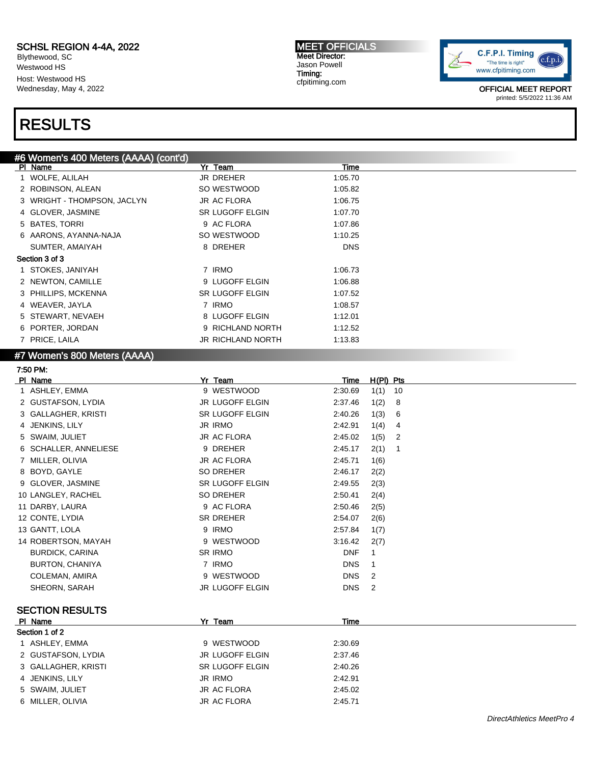Blythewood, SC Westwood HS Host: Westwood HS Wednesday, May 4, 2022

#### MEET OFFICIALS Meet Director: Jason Powell Timing: cfpitiming.com



OFFICIAL MEET REPORT printed: 5/5/2022 11:36 AM

### RESULTS

| #6 Women's 400 Meters (AAAA) (cont'd) |                        |             |                        |
|---------------------------------------|------------------------|-------------|------------------------|
| PI Name                               | Yr Team                | <u>Time</u> |                        |
| 1 WOLFE, ALILAH                       | JR DREHER              | 1:05.70     |                        |
| 2 ROBINSON, ALEAN                     | SO WESTWOOD            | 1:05.82     |                        |
| 3 WRIGHT - THOMPSON, JACLYN           | <b>JR AC FLORA</b>     | 1:06.75     |                        |
| 4 GLOVER, JASMINE                     | SR LUGOFF ELGIN        | 1:07.70     |                        |
| 5 BATES, TORRI                        | 9 AC FLORA             | 1:07.86     |                        |
| 6 AARONS, AYANNA-NAJA                 | SO WESTWOOD            | 1:10.25     |                        |
| SUMTER, AMAIYAH                       | 8 DREHER               | <b>DNS</b>  |                        |
| Section 3 of 3                        |                        |             |                        |
| 1 STOKES, JANIYAH                     | 7 IRMO                 | 1:06.73     |                        |
| 2 NEWTON, CAMILLE                     | 9 LUGOFF ELGIN         | 1:06.88     |                        |
| 3 PHILLIPS, MCKENNA                   | SR LUGOFF ELGIN        | 1:07.52     |                        |
| 4 WEAVER, JAYLA                       | 7 IRMO                 | 1:08.57     |                        |
| 5 STEWART, NEVAEH                     | 8 LUGOFF ELGIN         | 1:12.01     |                        |
| 6 PORTER, JORDAN                      | 9 RICHLAND NORTH       | 1:12.52     |                        |
| 7 PRICE, LAILA                        | JR RICHLAND NORTH      | 1:13.83     |                        |
| #7 Women's 800 Meters (AAAA)          |                        |             |                        |
| 7:50 PM:                              |                        |             |                        |
| PI Name                               | Yr Team                | <b>Time</b> | $H(PI)$ Pts            |
| 1 ASHLEY, EMMA                        | 9 WESTWOOD             | 2:30.69     | 1(1)<br>10             |
| 2 GUSTAFSON, LYDIA                    | JR LUGOFF ELGIN        | 2:37.46     | 1(2)<br>8              |
| 3 GALLAGHER, KRISTI                   | <b>SR LUGOFF ELGIN</b> | 2:40.26     | 1(3)<br>6              |
| 4 JENKINS, LILY                       | <b>JR IRMO</b>         | 2:42.91     | 1(4)<br>4              |
| 5 SWAIM, JULIET                       | <b>JR AC FLORA</b>     | 2:45.02     | $\overline{2}$<br>1(5) |
| 6 SCHALLER, ANNELIESE                 | 9 DREHER               | 2:45.17     | 2(1)<br>$\mathbf{1}$   |
| 7 MILLER, OLIVIA                      | <b>JR AC FLORA</b>     | 2:45.71     | 1(6)                   |
| 8 BOYD, GAYLE                         | <b>SO DREHER</b>       | 2:46.17     | 2(2)                   |
| 9 GLOVER, JASMINE                     | SR LUGOFF ELGIN        | 2:49.55     | 2(3)                   |
| 10 LANGLEY, RACHEL                    | <b>SO DREHER</b>       | 2:50.41     | 2(4)                   |
| 11 DARBY, LAURA                       | 9 AC FLORA             | 2:50.46     | 2(5)                   |
| 12 CONTE, LYDIA                       | <b>SR DREHER</b>       | 2:54.07     | 2(6)                   |
| 13 GANTT, LOLA                        | 9 IRMO                 | 2:57.84     | 1(7)                   |
| 14 ROBERTSON, MAYAH                   | 9 WESTWOOD             | 3:16.42     | 2(7)                   |
| <b>BURDICK, CARINA</b>                | <b>SR IRMO</b>         | <b>DNF</b>  | 1                      |
| <b>BURTON, CHANIYA</b>                | 7 IRMO                 | <b>DNS</b>  | 1                      |
| COLEMAN, AMIRA                        | 9 WESTWOOD             | <b>DNS</b>  | $\overline{2}$         |
| SHEORN, SARAH                         | JR LUGOFF ELGIN        | DNS         | $\overline{2}$         |
|                                       |                        |             |                        |
| <b>SECTION RESULTS</b>                |                        |             |                        |
| PI Name                               | Yr Team                | Time        |                        |
| Section 1 of 2                        |                        |             |                        |
| 1 ASHLEY, EMMA                        | 9 WESTWOOD             | 2:30.69     |                        |
| 2 GUSTAFSON, LYDIA                    | JR LUGOFF ELGIN        | 2:37.46     |                        |
| 3 GALLAGHER, KRISTI                   | SR LUGOFF ELGIN        | 2:40.26     |                        |
| 4 JENKINS, LILY                       | <b>JR IRMO</b>         | 2:42.91     |                        |
| 5 SWAIM, JULIET                       | JR AC FLORA            | 2:45.02     |                        |
| 6 MILLER, OLIVIA                      | JR AC FLORA            | 2:45.71     |                        |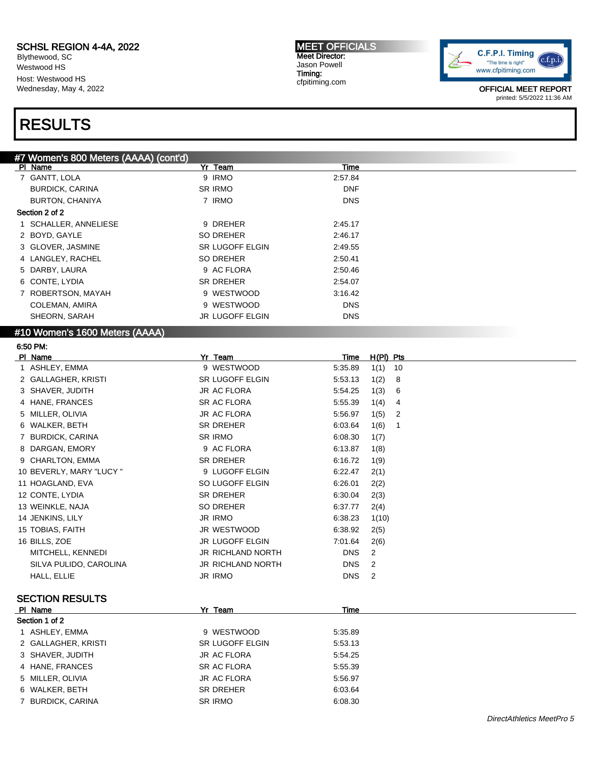Blythewood, SC Westwood HS Host: Westwood HS Wednesday, May 4, 2022

## RESULTS

MEET OFFICIALS Meet Director: Jason Powell Timing: cfpitiming.com



OFFICIAL MEET REPORT printed: 5/5/2022 11:36 AM

| #7 Women's 800 Meters (AAAA) (cont'd) |                        |             |  |
|---------------------------------------|------------------------|-------------|--|
| PI Name                               | Yr Team                | <b>Time</b> |  |
| 7 GANTT, LOLA                         | 9 IRMO                 | 2:57.84     |  |
| <b>BURDICK, CARINA</b>                | <b>SR IRMO</b>         | <b>DNF</b>  |  |
| BURTON, CHANIYA                       | 7 IRMO                 | <b>DNS</b>  |  |
| Section 2 of 2                        |                        |             |  |
| 1 SCHALLER, ANNELIESE                 | 9 DREHER               | 2:45.17     |  |
| 2 BOYD, GAYLE                         | SO DREHER              | 2:46.17     |  |
| 3 GLOVER, JASMINE                     | <b>SR LUGOFF ELGIN</b> | 2:49.55     |  |
| 4 LANGLEY, RACHEL                     | SO DREHER              | 2:50.41     |  |
| 5 DARBY, LAURA                        | 9 AC FLORA             | 2:50.46     |  |
| 6 CONTE, LYDIA                        | SR DREHER              | 2:54.07     |  |
| 7 ROBERTSON, MAYAH                    | 9 WESTWOOD             | 3:16.42     |  |
| COLEMAN, AMIRA                        | 9 WESTWOOD             | <b>DNS</b>  |  |
| SHEORN, SARAH                         | JR LUGOFF ELGIN        | <b>DNS</b>  |  |
| $H10 Mcmon$ 's 1800 Motors ( $AA$ )   |                        |             |  |

#### #10 Women's 1600 Meters (AAAA)

| 6:50 PM.                 |                          |            |                        |
|--------------------------|--------------------------|------------|------------------------|
| PI Name                  | Yr Team                  | Time       | $H(PI)$ Pts            |
| 1 ASHLEY, EMMA           | 9 WESTWOOD               | 5:35.89    | 1(1)<br>10             |
| 2 GALLAGHER, KRISTI      | <b>SR LUGOFF ELGIN</b>   | 5:53.13    | 1(2)<br>8              |
| 3 SHAVER, JUDITH         | <b>JR AC FLORA</b>       | 5:54.25    | 1(3)<br>6              |
| 4 HANE, FRANCES          | <b>SR AC FLORA</b>       | 5:55.39    | 1(4)<br>4              |
| 5 MILLER, OLIVIA         | <b>JR AC FLORA</b>       | 5:56.97    | 1(5)<br>$\overline{2}$ |
| 6 WALKER, BETH           | <b>SR DREHER</b>         | 6:03.64    | 1(6)<br>-1             |
| 7 BURDICK, CARINA        | <b>SR IRMO</b>           | 6:08.30    | 1(7)                   |
| 8 DARGAN, EMORY          | 9 AC FLORA               | 6:13.87    | 1(8)                   |
| 9 CHARLTON, EMMA         | <b>SR DREHER</b>         | 6:16.72    | 1(9)                   |
| 10 BEVERLY, MARY "LUCY " | 9 LUGOFF ELGIN           | 6:22.47    | 2(1)                   |
| 11 HOAGLAND, EVA         | SO LUGOFF ELGIN          | 6:26.01    | 2(2)                   |
| 12 CONTE, LYDIA          | <b>SR DREHER</b>         | 6:30.04    | 2(3)                   |
| 13 WEINKLE, NAJA         | <b>SO DREHER</b>         | 6:37.77    | 2(4)                   |
| 14 JENKINS, LILY         | <b>JR IRMO</b>           | 6:38.23    | 1(10)                  |
| 15 TOBIAS, FAITH         | JR WESTWOOD              | 6:38.92    | 2(5)                   |
| 16 BILLS, ZOE            | <b>JR LUGOFF ELGIN</b>   | 7:01.64    | 2(6)                   |
| MITCHELL, KENNEDI        | <b>JR RICHLAND NORTH</b> | <b>DNS</b> | 2                      |
| SILVA PULIDO, CAROLINA   | <b>JR RICHLAND NORTH</b> | <b>DNS</b> | 2                      |
| HALL, ELLIE              | <b>JR IRMO</b>           | <b>DNS</b> | 2                      |
| <b>SECTION RESULTS</b>   |                          |            |                        |
| PI Name                  | Yr Team                  | Time       |                        |
| Section 1 of 2           |                          |            |                        |
| 1 ASHLEY, EMMA           | 9 WESTWOOD               | 5:35.89    |                        |
| 2 GALLAGHER, KRISTI      | <b>SR LUGOFF ELGIN</b>   | 5:53.13    |                        |
| 3 SHAVER, JUDITH         | <b>JR AC FLORA</b>       | 5:54.25    |                        |

4 HANE, FRANCES SR AC FLORA 5:55.39 5 MILLER, OLIVIA JR AC FLORA 5:56.97 6 WALKER, BETH SR DREHER 6:03.64 7 BURDICK, CARINA SR IRMO 6:08.30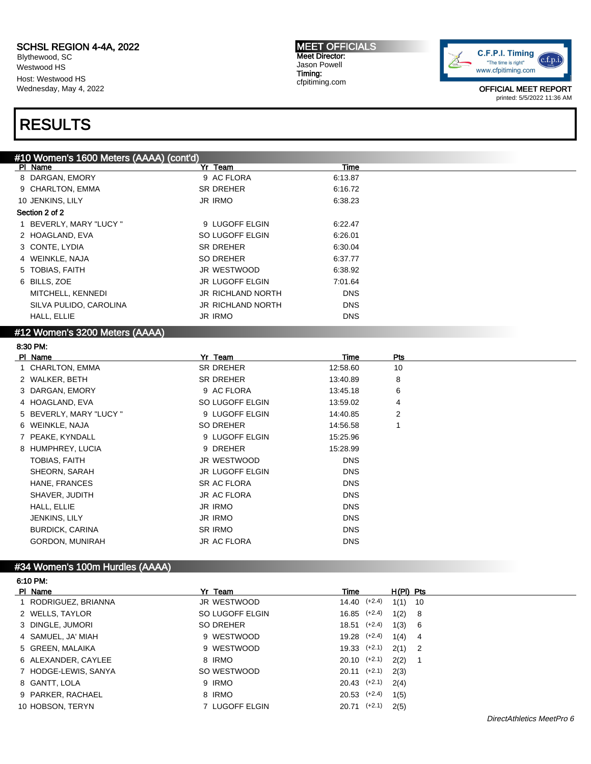Blythewood, SC Westwood HS Host: Westwood HS Wednesday, May 4, 2022

### RESULTS

MEET OFFICIALS Meet Director: Jason Powell Timing: cfpitiming.com



OFFICIAL MEET REPORT printed: 5/5/2022 11:36 AM

| #10 Women's 1600 Meters (AAAA) (cont'd) |                          |            |  |
|-----------------------------------------|--------------------------|------------|--|
| PI Name                                 | Yr Team                  | Time       |  |
| 8 DARGAN, EMORY                         | 9 AC FLORA               | 6:13.87    |  |
| 9 CHARLTON, EMMA                        | <b>SR DREHER</b>         | 6:16.72    |  |
| 10 JENKINS, LILY                        | JR IRMO                  | 6:38.23    |  |
| Section 2 of 2                          |                          |            |  |
| 1 BEVERLY, MARY "LUCY "                 | 9 LUGOFF ELGIN           | 6:22.47    |  |
| 2 HOAGLAND, EVA                         | SO LUGOFF ELGIN          | 6.26.01    |  |
| 3 CONTE, LYDIA                          | <b>SR DREHER</b>         | 6:30.04    |  |
| 4 WEINKLE, NAJA                         | SO DREHER                | 6:37.77    |  |
| 5 TOBIAS, FAITH                         | JR WESTWOOD              | 6:38.92    |  |
| 6 BILLS, ZOE                            | JR LUGOFF ELGIN          | 7:01.64    |  |
| MITCHELL, KENNEDI                       | JR RICHLAND NORTH        | <b>DNS</b> |  |
| SILVA PULIDO, CAROLINA                  | <b>JR RICHLAND NORTH</b> | <b>DNS</b> |  |
| HALL, ELLIE                             | JR IRMO                  | <b>DNS</b> |  |
| #12 Women's 3200 Meters (AAAA)          |                          |            |  |

#### 8:30 PM: PI Name Particle Property of the President President President President President President President President Pre 1 CHARLTON, EMMA SR DREHER 12:58.60 10 2 WALKER, BETH SR DREHER 13:40.89 8 3 DARGAN, EMORY 9 AC FLORA 13:45.18 6 4 HOAGLAND, EVA SO LUGOFF ELGIN 13:59.02 4 5 BEVERLY, MARY "LUCY " 9 LUGOFF ELGIN 14:40.85 2 6 WEINKLE, NAJA SO DREHER 14:56.58 1 7 PEAKE, KYNDALL 8 CHARGE 15:25.96 8 HUMPHREY, LUCIA 15:28.99 TOBIAS, FAITH DNS UR WESTWOOD DNS SHEORN, SARAH DNS JR LUGOFF ELGIN DNS HANE, FRANCES DNS SR AC FLORA SHAVER, JUDITH DNS URAC FLORA HALL, ELLIE DISTRIKTION DISTRIKTION DISTRIKTION DISTRIKTION DISTRIKTION DISTRIKTION DISTRIKTION DISTRIKTION DIS JENKINS, LILY JR IRMO DNS BURDICK, CARINA DISCOVER SR IRMO DISCOVER AND THE SAME DISCOVER AND STRUCK AND THE STRUCK OF STRUCK AND THE ST GORDON, MUNIRAH DISCORDON, MUNIRAH DISCORDON, MUNIRAH DISCORDONAL URBA CHECARA DISCORDONAL DISCORDONAL DISCORD

#### #34 Women's 100m Hurdles (AAAA)

6:10 PM:

| PI Name              | Yr Team         | Time             |      | $H(PI)$ Pts |  |
|----------------------|-----------------|------------------|------|-------------|--|
| 1 RODRIGUEZ, BRIANNA | JR WESTWOOD     | $14.40$ $(+2.4)$ |      | $1(1)$ 10   |  |
| 2 WELLS, TAYLOR      | SO LUGOFF ELGIN | $16.85$ $(+2.4)$ |      | 1(2) 8      |  |
| 3 DINGLE, JUMORI     | SO DREHER       | $18.51$ $(+2.4)$ |      | 1(3) 6      |  |
| 4 SAMUEL, JA' MIAH   | 9 WESTWOOD      | 19.28 (+2.4)     | 1(4) | 4           |  |
| 5 GREEN, MALAIKA     | 9 WESTWOOD      | $19.33$ $(+2.1)$ |      | $2(1)$ 2    |  |
| 6 ALEXANDER, CAYLEE  | 8 IRMO          | $20.10$ $(+2.1)$ |      | $2(2)$ 1    |  |
| 7 HODGE-LEWIS, SANYA | SO WESTWOOD     | $20.11$ (+2.1)   | 2(3) |             |  |
| 8 GANTT, LOLA        | 9 IRMO          | $20.43$ $(+2.1)$ | 2(4) |             |  |
| 9 PARKER, RACHAEL    | 8 IRMO          | $20.53$ $(+2.4)$ | 1(5) |             |  |
| 10 HOBSON, TERYN     | 7 LUGOFF ELGIN  | $20.71$ (+2.1)   | 2(5) |             |  |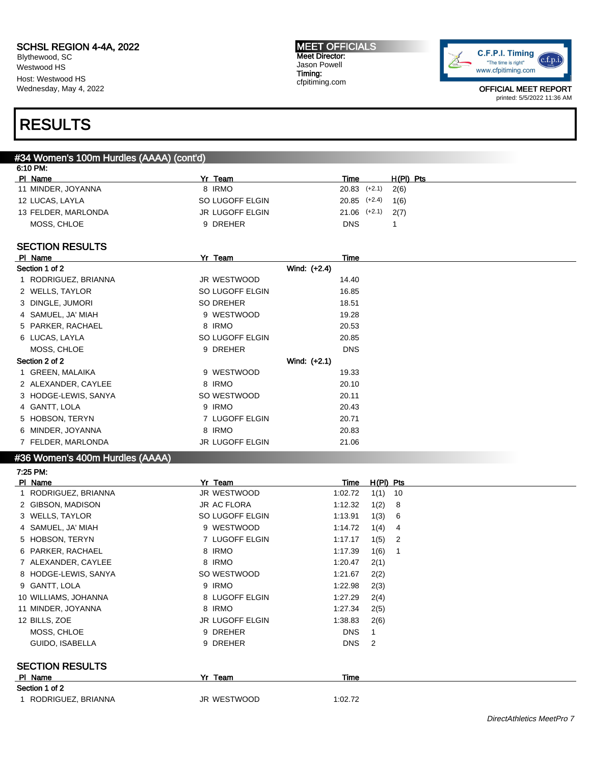Blythewood, SC Westwood HS Host: Westwood HS Wednesday, May 4, 2022

#### MEET OFFICIALS Meet Director: Jason Powell Timing: cfpitiming.com



OFFICIAL MEET REPORT printed: 5/5/2022 11:36 AM

### RESULTS

### #34 Women's 100m Hurdles (AAAA) (cont'd)

| 6:10 PM:            |                        |                          |  |
|---------------------|------------------------|--------------------------|--|
| PI Name             | Yr Team                | $H(PI)$ Pts<br>Time      |  |
| 11 MINDER, JOYANNA  | 8 IRMO                 | $20.83$ $(+2.1)$<br>2(6) |  |
| 12 LUCAS, LAYLA     | SO LUGOFF ELGIN        | 20.85 (+2.4)<br>1(6)     |  |
| 13 FELDER, MARLONDA | <b>JR LUGOFF ELGIN</b> | $21.06$ $(+2.1)$ $2(7)$  |  |
| MOSS, CHLOE         | 9 DREHER               | <b>DNS</b>               |  |

#### SECTION RESULTS

| PI Name              | Yr Team                | Time       |
|----------------------|------------------------|------------|
| Section 1 of 2       | Wind: (+2.4)           |            |
| 1 RODRIGUEZ, BRIANNA | JR WESTWOOD            | 14.40      |
| 2 WELLS, TAYLOR      | SO LUGOFF ELGIN        | 16.85      |
| 3 DINGLE, JUMORI     | SO DREHER              | 18.51      |
| 4 SAMUEL, JA' MIAH   | 9 WESTWOOD             | 19.28      |
| 5 PARKER, RACHAEL    | 8 IRMO                 | 20.53      |
| 6 LUCAS, LAYLA       | SO LUGOFF ELGIN        | 20.85      |
| MOSS, CHLOE          | 9 DREHER               | <b>DNS</b> |
| Section 2 of 2       | Wind: $(+2.1)$         |            |
| 1 GREEN, MALAIKA     | 9 WESTWOOD             | 19.33      |
| 2 ALEXANDER, CAYLEE  | 8 IRMO                 | 20.10      |
| 3 HODGE-LEWIS, SANYA | SO WESTWOOD            | 20.11      |
| 4 GANTT, LOLA        | 9 IRMO                 | 20.43      |
| 5 HOBSON, TERYN      | 7 LUGOFF ELGIN         | 20.71      |
| 6 MINDER, JOYANNA    | 8 IRMO                 | 20.83      |
| 7 FELDER, MARLONDA   | <b>JR LUGOFF ELGIN</b> | 21.06      |
|                      |                        |            |

#### #36 Women's 400m Hurdles (AAAA)

7:25 PM:

| $1.23$ FM.             |                        |                 |                                  |
|------------------------|------------------------|-----------------|----------------------------------|
| PI Name                | Yr Team                | Time            | $H(PI)$ Pts                      |
| RODRIGUEZ, BRIANNA     | JR WESTWOOD            | 1:02.72         | 1(1)<br>10                       |
| 2 GIBSON, MADISON      | JR AC FLORA            | 1:12.32         | 1(2)<br>8                        |
| 3 WELLS, TAYLOR        | SO LUGOFF ELGIN        | 1:13.91         | 1(3)<br>-6                       |
| 4 SAMUEL, JA' MIAH     | 9 WESTWOOD             | 1:14.72         | 1(4)<br>-4                       |
| 5 HOBSON, TERYN        | 7 LUGOFF ELGIN         | 1:17.17         | 1(5)<br>$\overline{\phantom{a}}$ |
| 6 PARKER, RACHAEL      | 8 IRMO                 | 1:17.39         | 1(6)<br>- 1                      |
| 7 ALEXANDER, CAYLEE    | 8 IRMO                 | 1:20.47         | 2(1)                             |
| 8 HODGE-LEWIS, SANYA   | SO WESTWOOD            | 1:21.67         | 2(2)                             |
| 9 GANTT, LOLA          | 9 IRMO                 | 1:22.98         | 2(3)                             |
| 10 WILLIAMS, JOHANNA   | 8 LUGOFF ELGIN         | 1:27.29         | 2(4)                             |
| 11 MINDER, JOYANNA     | 8 IRMO                 | 1:27.34         | 2(5)                             |
| 12 BILLS, ZOE          | <b>JR LUGOFF ELGIN</b> | 1:38.83         | 2(6)                             |
| MOSS, CHLOE            | 9 DREHER               | <b>DNS</b><br>1 |                                  |
| GUIDO, ISABELLA        | 9 DREHER               | <b>DNS</b><br>2 |                                  |
| <b>SECTION RESULTS</b> |                        |                 |                                  |
| PI Name                | Yr Team                | Time            |                                  |
| Section 1 of 2         |                        |                 |                                  |
| 1 RODRIGUEZ, BRIANNA   | JR WESTWOOD            | 1:02.72         |                                  |
|                        |                        |                 |                                  |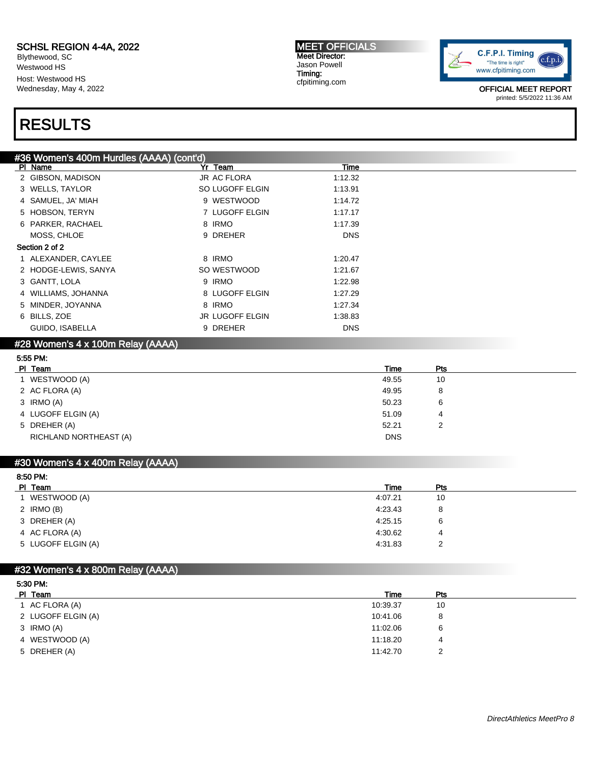Blythewood, SC Westwood HS Host: Westwood HS Wednesday, May 4, 2022

# RESULTS

MEET OFFICIALS Meet Director: Jason Powell Timing: cfpitiming.com



OFFICIAL MEET REPORT printed: 5/5/2022 11:36 AM

| #36 Women's 400m Hurdles (AAAA) (cont'd) |                    |            |  |
|------------------------------------------|--------------------|------------|--|
| PI Name                                  | Yr Team            | Time       |  |
| 2 GIBSON, MADISON                        | <b>JR AC FLORA</b> | 1:12.32    |  |
| 3 WELLS, TAYLOR                          | SO LUGOFF ELGIN    | 1:13.91    |  |
| 4 SAMUEL, JA' MIAH                       | 9 WESTWOOD         | 1:14.72    |  |
| 5 HOBSON, TERYN                          | 7 LUGOFF ELGIN     | 1:17.17    |  |
| 6 PARKER, RACHAEL                        | 8 IRMO             | 1:17.39    |  |
| MOSS, CHLOE                              | 9 DREHER           | <b>DNS</b> |  |
| Section 2 of 2                           |                    |            |  |
| 1 ALEXANDER, CAYLEE                      | 8 IRMO             | 1:20.47    |  |
| 2 HODGE-LEWIS, SANYA                     | SO WESTWOOD        | 1:21.67    |  |
| 3 GANTT, LOLA                            | 9 IRMO             | 1:22.98    |  |
| 4 WILLIAMS, JOHANNA                      | 8 LUGOFF ELGIN     | 1:27.29    |  |
| 5 MINDER, JOYANNA                        | 8 IRMO             | 1:27.34    |  |
| 6 BILLS, ZOE                             | JR LUGOFF ELGIN    | 1:38.83    |  |
| GUIDO, ISABELLA                          | 9 DREHER           | <b>DNS</b> |  |
| #28 Women's 4 x 100m Relay (AAAA)        |                    |            |  |

| 5:55 PM:               |            |     |  |
|------------------------|------------|-----|--|
| PI Team                | Time       | Pts |  |
| 1 WESTWOOD (A)         | 49.55      | 10  |  |
| 2 AC FLORA (A)         | 49.95      | 8   |  |
| 3 IRMO (A)             | 50.23      | 6   |  |
| 4 LUGOFF ELGIN (A)     | 51.09      | 4   |  |
| 5 DREHER (A)           | 52.21      | 2   |  |
| RICHLAND NORTHEAST (A) | <b>DNS</b> |     |  |

#### #30 Women's 4 x 400m Relay (AAAA)

| Time    | Pts |  |
|---------|-----|--|
| 4:07.21 | 10  |  |
| 4:23.43 | 8   |  |
| 4:25.15 | 6   |  |
| 4:30.62 | 4   |  |
| 4:31.83 | 2   |  |
|         |     |  |

### #32 Women's 4 x 800m Relay (AAAA)

| 5:30 PM.           |          |     |  |
|--------------------|----------|-----|--|
| PI Team            | Time     | Pts |  |
| 1 AC FLORA (A)     | 10:39.37 | 10  |  |
| 2 LUGOFF ELGIN (A) | 10:41.06 | 8   |  |
| 3 IRMO (A)         | 11:02.06 | 6   |  |
| 4 WESTWOOD (A)     | 11:18.20 | 4   |  |
| 5 DREHER (A)       | 11:42.70 | 2   |  |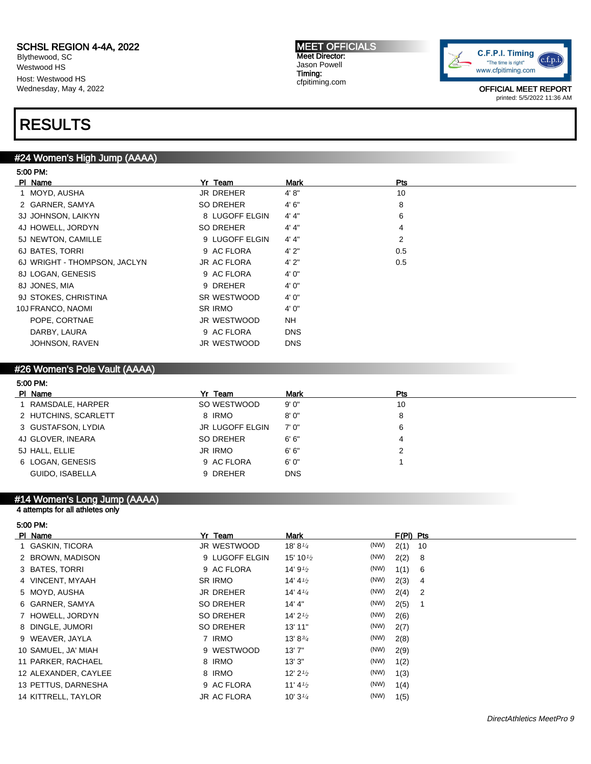Blythewood, SC Westwood HS Host: Westwood HS Wednesday, May 4, 2022

#### MEET OFFICIALS Meet Director: Jason Powell Timing: cfpitiming.com



OFFICIAL MEET REPORT printed: 5/5/2022 11:36 AM

### RESULTS

#### #24 Women's High Jump (AAAA)

| 5:00 PM                      |                    |            |     |
|------------------------------|--------------------|------------|-----|
| PI Name                      | Yr Team            | Mark       | Pts |
| 1 MOYD, AUSHA                | JR DREHER          | 4' 8''     | 10  |
| 2 GARNER, SAMYA              | SO DREHER          | 4'6''      | 8   |
| 3J JOHNSON, LAIKYN           | 8 LUGOFF ELGIN     | 4' 4"      | 6   |
| 4J HOWELL, JORDYN            | SO DREHER          | 4' 4''     | 4   |
| 5J NEWTON, CAMILLE           | 9 LUGOFF ELGIN     | 4' 4"      | 2   |
| 6J BATES, TORRI              | 9 AC FLORA         | 4'2"       | 0.5 |
| 6J WRIGHT - THOMPSON, JACLYN | <b>JR AC FLORA</b> | 4'2"       | 0.5 |
| 8J LOGAN, GENESIS            | 9 AC FLORA         | 4'0''      |     |
| 8J JONES, MIA                | 9 DREHER           | 4'0''      |     |
| 9J STOKES, CHRISTINA         | SR WESTWOOD        | 4' 0"      |     |
| 10J FRANCO, NAOMI            | SR IRMO            | 4'0''      |     |
| POPE, CORTNAE                | JR WESTWOOD        | <b>NH</b>  |     |
| DARBY, LAURA                 | 9 AC FLORA         | <b>DNS</b> |     |
| JOHNSON, RAVEN               | JR WESTWOOD        | <b>DNS</b> |     |

#### #26 Women's Pole Vault (AAAA)

| 5:00 PM:             |                        |             |     |  |
|----------------------|------------------------|-------------|-----|--|
| PI Name              | Yr Team                | <b>Mark</b> | Pts |  |
| RAMSDALE, HARPER     | SO WESTWOOD            | 9'0''       | 10  |  |
| 2 HUTCHINS, SCARLETT | 8 IRMO                 | 8'0''       | 8   |  |
| 3 GUSTAFSON, LYDIA   | <b>JR LUGOFF ELGIN</b> | 7' 0"       | 6   |  |
| 4J GLOVER, INEARA    | SO DREHER              | 6'6''       | 4   |  |
| 5J HALL, ELLIE       | JR IRMO                | 6'6''       | 2   |  |
| 6 LOGAN, GENESIS     | 9 AC FLORA             | 6'0''       |     |  |
| GUIDO, ISABELLA      | 9 DREHER               | <b>DNS</b>  |     |  |

#### #14 Women's Long Jump (AAAA)

#### 4 attempts for all athletes only

5:00 PM:

| PI Name              | Yr Team            | Mark                 |      | $F(PI)$ Pts |     |
|----------------------|--------------------|----------------------|------|-------------|-----|
| 1 GASKIN, TICORA     | JR WESTWOOD        | 18' 8 $\frac{1}{4}$  | (NW) | 2(1)        | 10  |
| 2 BROWN, MADISON     | 9 LUGOFF ELGIN     | 15' 10 $\frac{1}{2}$ | (NW) | 2(2)        | - 8 |
| 3 BATES, TORRI       | 9 AC FLORA         | 14' $9\frac{1}{2}$   | (NW) | 1(1)        | - 6 |
| 4 VINCENT, MYAAH     | <b>SR IRMO</b>     | 14' 4 $\frac{1}{2}$  | (NW) | 2(3)        | - 4 |
| 5 MOYD, AUSHA        | <b>JR DREHER</b>   | 14' 4 $\frac{1}{4}$  | (NW) | $2(4)$ 2    |     |
| 6 GARNER, SAMYA      | SO DREHER          | 14' 4"               | (NW) | 2(5)        |     |
| 7 HOWELL, JORDYN     | <b>SO DREHER</b>   | 14' $2\frac{1}{2}$   | (NW) | 2(6)        |     |
| 8 DINGLE, JUMORI     | SO DREHER          | 13' 11"              | (NW) | 2(7)        |     |
| 9 WEAVER, JAYLA      | 7 IRMO             | $13' 8^{3/4}$        | (NW) | 2(8)        |     |
| 10 SAMUEL, JA' MIAH  | 9 WESTWOOD         | 13'7''               | (NW) | 2(9)        |     |
| 11 PARKER, RACHAEL   | 8 IRMO             | 13'3''               | (NW) | 1(2)        |     |
| 12 ALEXANDER, CAYLEE | 8 IRMO             | 12' $2\frac{1}{2}$   | (NW) | 1(3)        |     |
| 13 PETTUS, DARNESHA  | 9 AC FLORA         | 11' 4 $\frac{1}{2}$  | (NW) | 1(4)        |     |
| 14 KITTRELL, TAYLOR  | <b>JR AC FLORA</b> | 10' $3\frac{1}{4}$   | (NW) | 1(5)        |     |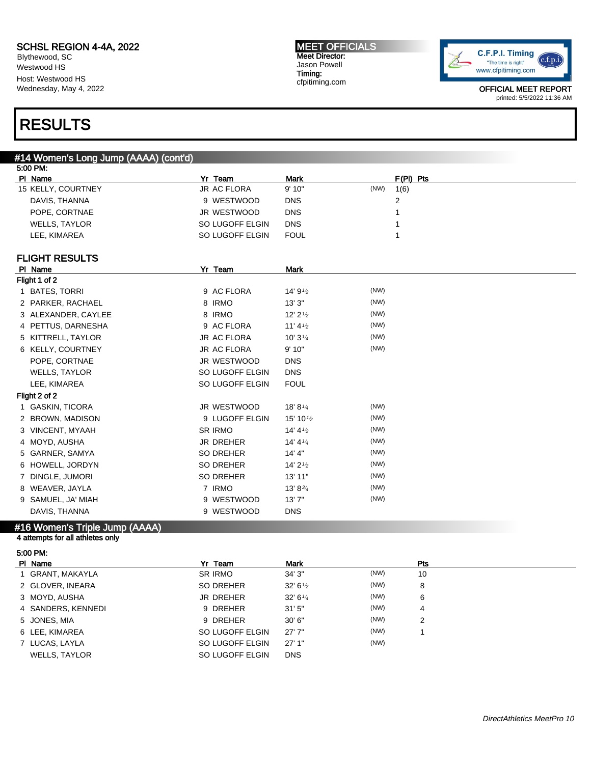Blythewood, SC Westwood HS Host: Westwood HS Wednesday, May 4, 2022

#### MEET OFFICIALS Meet Director: Jason Powell Timing: cfpitiming.com



OFFICIAL MEET REPORT printed: 5/5/2022 11:36 AM

### RESULTS

#### #14 Women's Long Jump (AAAA) (cont'd)

| 5:00 PM: |                       |                    |                       |      |             |
|----------|-----------------------|--------------------|-----------------------|------|-------------|
|          | PI Name               | Yr Team            | <b>Mark</b>           |      | $F(PI)$ Pts |
|          | 15 KELLY, COURTNEY    | JR AC FLORA        | 9' 10"                | (NW) | 1(6)        |
|          | DAVIS, THANNA         | 9 WESTWOOD         | <b>DNS</b>            |      | 2           |
|          | POPE, CORTNAE         | JR WESTWOOD        | <b>DNS</b>            |      |             |
|          | <b>WELLS, TAYLOR</b>  | SO LUGOFF ELGIN    | <b>DNS</b>            |      |             |
|          | LEE, KIMAREA          | SO LUGOFF ELGIN    | <b>FOUL</b>           |      |             |
|          | <b>FLIGHT RESULTS</b> |                    |                       |      |             |
|          | PI Name               | Yr Team            | <b>Mark</b>           |      |             |
|          | Flight 1 of 2         |                    |                       |      |             |
|          | 1 BATES, TORRI        | 9 AC FLORA         | 14' $9\frac{1}{2}$    | (NW) |             |
|          | 2 PARKER, RACHAEL     | 8 IRMO             | 13'3''                | (NW) |             |
|          | 3 ALEXANDER, CAYLEE   | 8 IRMO             | $12'$ 2 $\frac{1}{2}$ | (NW) |             |
|          | 4 PETTUS, DARNESHA    | 9 AC FLORA         | 11' $4\frac{1}{2}$    | (NW) |             |
|          | 5 KITTRELL, TAYLOR    | <b>JR AC FLORA</b> | $10'3\frac{1}{4}$     | (NW) |             |
|          | 6 KELLY, COURTNEY     | <b>JR AC FLORA</b> | 9' 10"                | (NW) |             |
|          | POPE, CORTNAE         | JR WESTWOOD        | <b>DNS</b>            |      |             |
|          | <b>WELLS, TAYLOR</b>  | SO LUGOFF ELGIN    | <b>DNS</b>            |      |             |
|          | LEE, KIMAREA          | SO LUGOFF ELGIN    | <b>FOUL</b>           |      |             |
|          | Flight 2 of 2         |                    |                       |      |             |
|          | 1 GASKIN, TICORA      | JR WESTWOOD        | 18' 81/4              | (NW) |             |
|          | 2 BROWN, MADISON      | 9 LUGOFF ELGIN     | 15' 10 $\frac{1}{2}$  | (NW) |             |
|          | 3 VINCENT, MYAAH      | <b>SR IRMO</b>     | 14' $4\frac{1}{2}$    | (NW) |             |
|          | 4 MOYD, AUSHA         | <b>JR DREHER</b>   | 14' 4 $\frac{1}{4}$   | (NW) |             |
| 5        | GARNER, SAMYA         | <b>SO DREHER</b>   | 14' 4"                | (NW) |             |
|          | 6 HOWELL, JORDYN      | <b>SO DREHER</b>   | 14' $2\frac{1}{2}$    | (NW) |             |
| 7        | DINGLE, JUMORI        | <b>SO DREHER</b>   | 13' 11"               | (NW) |             |
|          | 8 WEAVER, JAYLA       | 7 IRMO             | 13' 83'               | (NW) |             |
|          | 9 SAMUEL, JA' MIAH    | 9 WESTWOOD         | 13'7''                | (NW) |             |
|          | DAVIS, THANNA         | 9 WESTWOOD         | <b>DNS</b>            |      |             |

### #16 Women's Triple Jump (AAAA)

4 attempts for all athletes only

| 5:00 PM: |  |
|----------|--|
|          |  |

| PI Name              | Yr Team         | <b>Mark</b>        |      | Pts |
|----------------------|-----------------|--------------------|------|-----|
| 1 GRANT, MAKAYLA     | SR IRMO         | 34' 3"             | (NW) | 10  |
| 2 GLOVER, INEARA     | SO DREHER       | 32' $6\frac{1}{2}$ | (NW) | 8   |
| 3 MOYD, AUSHA        | JR DREHER       | 32' 6''            | (NW) | 6   |
| 4 SANDERS, KENNEDI   | 9 DREHER        | 31'5''             | (NW) | 4   |
| 5 JONES, MIA         | 9 DREHER        | 30'6''             | (NW) | 2   |
| 6 LEE, KIMAREA       | SO LUGOFF ELGIN | 27'7''             | (NW) |     |
| 7 LUCAS, LAYLA       | SO LUGOFF ELGIN | 27'1"              | (NW) |     |
| <b>WELLS, TAYLOR</b> | SO LUGOFF ELGIN | <b>DNS</b>         |      |     |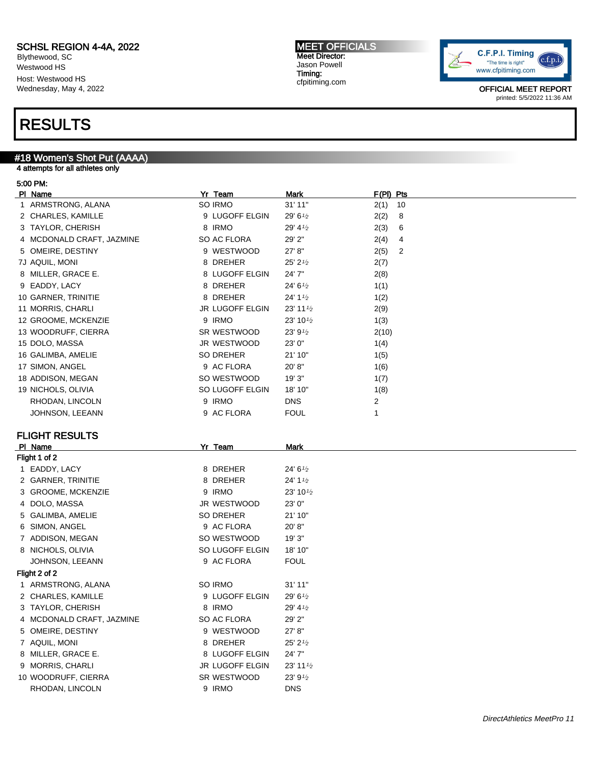Blythewood, SC Westwood HS Host: Westwood HS Wednesday, May 4, 2022

### RESULTS

#### #18 Women's Shot Put (AAAA)

#### 5:00 PM:

| טטוויווויט                |                        |                        |                        |
|---------------------------|------------------------|------------------------|------------------------|
| PI Name                   | Yr Team                | Mark                   | F(PI) Pts              |
| 1 ARMSTRONG, ALANA        | SO IRMO                | 31' 11"                | 10<br>2(1)             |
| 2 CHARLES, KAMILLE        | 9 LUGOFF ELGIN         | 29' 61⁄2               | 2(2)<br>8              |
| 3 TAYLOR, CHERISH         | 8 IRMO                 | 29' 41/2               | 2(3)<br>6              |
| 4 MCDONALD CRAFT, JAZMINE | SO AC FLORA            | 29' 2"                 | 2(4)<br>4              |
| 5 OMEIRE, DESTINY         | 9 WESTWOOD             | 27' 8"                 | 2(5)<br>$\overline{2}$ |
| 7J AQUIL, MONI            | 8 DREHER               | 25' 21/2               | 2(7)                   |
| 8 MILLER, GRACE E.        | 8 LUGOFF ELGIN         | 24' 7"                 | 2(8)                   |
| 9 EADDY, LACY             | 8 DREHER               | 24' 61/2               | 1(1)                   |
| 10 GARNER, TRINITIE       | 8 DREHER               | $24' 1\frac{1}{2}$     | 1(2)                   |
| 11 MORRIS, CHARLI         | <b>JR LUGOFF ELGIN</b> | $23'$ 11 $\frac{1}{2}$ | 2(9)                   |
| 12 GROOME, MCKENZIE       | 9 IRMO                 | 23' 101/2              | 1(3)                   |
| 13 WOODRUFF, CIERRA       | SR WESTWOOD            | 23' 91/2               | 2(10)                  |
| 15 DOLO, MASSA            | JR WESTWOOD            | 23' 0"                 | 1(4)                   |
| 16 GALIMBA, AMELIE        | SO DREHER              | 21' 10"                | 1(5)                   |
| 17 SIMON, ANGEL           | 9 AC FLORA             | 20'8"                  | 1(6)                   |
| 18 ADDISON, MEGAN         | SO WESTWOOD            | 19'3"                  | 1(7)                   |
| 19 NICHOLS, OLIVIA        | SO LUGOFF ELGIN        | 18' 10"                | 1(8)                   |
| RHODAN, LINCOLN           | 9 IRMO                 | <b>DNS</b>             | 2                      |
| JOHNSON, LEEANN           | 9 AC FLORA             | <b>FOUL</b>            | 1                      |
|                           |                        |                        |                        |
| <b>FLIGHT RESULTS</b>     |                        |                        |                        |
| PI Name                   | Yr Team                | <b>Mark</b>            |                        |
| Flight 1 of 2             |                        |                        |                        |
| 1 EADDY, LACY             | 8 DREHER               | 24' 61⁄2               |                        |
| 2 GARNER, TRINITIE        | 8 DREHER               | 24' 11/2               |                        |
| 3 GROOME, MCKENZIE        | 9 IRMO                 | 23' 101/2              |                        |
| 4 DOLO, MASSA             | JR WESTWOOD            | 23' 0"                 |                        |
| 5 GALIMBA, AMELIE         | SO DREHER              | 21' 10"                |                        |
| 6 SIMON, ANGEL            | 9 AC FLORA             | 20'8"                  |                        |
| 7 ADDISON, MEGAN          | SO WESTWOOD            | 19' 3"                 |                        |
| 8 NICHOLS, OLIVIA         | SO LUGOFF ELGIN        | 18' 10"                |                        |
| JOHNSON, LEEANN           | 9 AC FLORA             | <b>FOUL</b>            |                        |
| Flight 2 of 2             |                        |                        |                        |
| 1 ARMSTRONG, ALANA        | SO IRMO                | 31' 11"                |                        |
| 2 CHARLES, KAMILLE        | 9 LUGOFF ELGIN         | 29' 61⁄2               |                        |
| 3 TAYLOR, CHERISH         | 8 IRMO                 | 29' 41/2               |                        |
| 4 MCDONALD CRAFT, JAZMINE | SO AC FLORA            | 29' 2"                 |                        |
| 5 OMEIRE, DESTINY         | 9 WESTWOOD             | 27' 8"                 |                        |
| 7 AQUIL, MONI             | 8 DREHER               | $25'$ 2 $\frac{1}{2}$  |                        |

### 4 attempts for all athletes only

8 MILLER, GRACE E. 6 8 LUGOFF ELGIN 24' 7" 9 MORRIS, CHARLI JR LUGOFF ELGIN 23' 11<sup>1</sup>/2 10 WOODRUFF, CIERRA SR WESTWOOD 23' 9<sup>1/2</sup> RHODAN, LINCOLN 9 IRMO DNS

MEET OFFICIALS Meet Director: Jason Powell Timing: cfpitiming.com

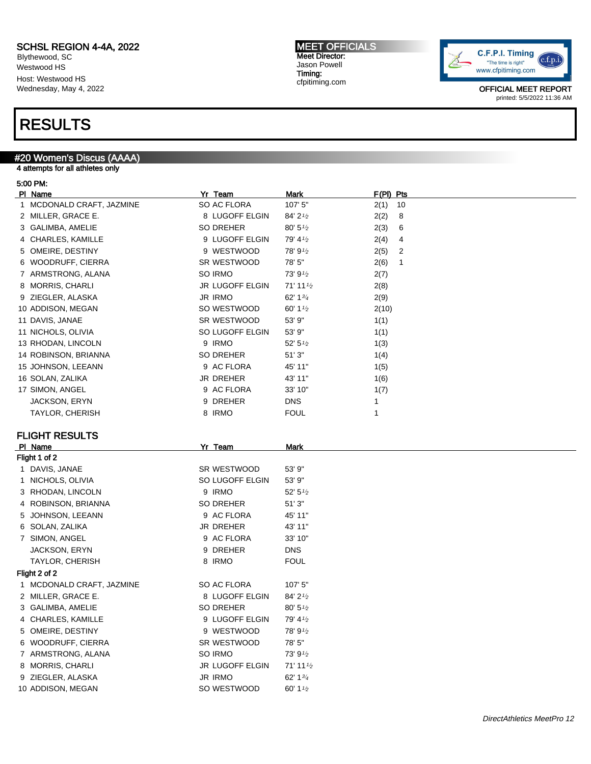Blythewood, SC Westwood HS Host: Westwood HS Wednesday, May 4, 2022

### RESULTS

### #20 Women's Discus (AAAA)

4 attempts for all athletes only

#### 5:00 PM:

| PI Name                   | Yr Team                | <u>Mark</u>            | F(PI) Pts            |  |
|---------------------------|------------------------|------------------------|----------------------|--|
| 1 MCDONALD CRAFT, JAZMINE | SO AC FLORA            | 107' 5"                | 10<br>2(1)           |  |
| 2 MILLER, GRACE E.        | 8 LUGOFF ELGIN         | 84' 21/2               | 2(2)<br>8            |  |
| 3 GALIMBA, AMELIE         | SO DREHER              | $80' 5\%$              | 2(3)<br>6            |  |
| 4 CHARLES, KAMILLE        | 9 LUGOFF ELGIN         | 79' 41/2               | 4<br>2(4)            |  |
| 5 OMEIRE, DESTINY         | 9 WESTWOOD             | 78' 91/2               | 2(5)<br>2            |  |
| 6 WOODRUFF, CIERRA        | SR WESTWOOD            | 78' 5"                 | 2(6)<br>$\mathbf{1}$ |  |
| 7 ARMSTRONG, ALANA        | SO IRMO                | 73' 91/2               | 2(7)                 |  |
| 8 MORRIS, CHARLI          | <b>JR LUGOFF ELGIN</b> | $71'$ 11 $\frac{1}{2}$ | 2(8)                 |  |
| 9 ZIEGLER, ALASKA         | <b>JR IRMO</b>         | 62' 1 $3/4$            | 2(9)                 |  |
| 10 ADDISON, MEGAN         | SO WESTWOOD            | 60' 1 $\frac{1}{2}$    | 2(10)                |  |
| 11 DAVIS, JANAE           | SR WESTWOOD            | 53' 9"                 | 1(1)                 |  |
| 11 NICHOLS, OLIVIA        | SO LUGOFF ELGIN        | 53' 9"                 | 1(1)                 |  |
| 13 RHODAN, LINCOLN        | 9 IRMO                 | $52' 5\frac{1}{2}$     | 1(3)                 |  |
| 14 ROBINSON, BRIANNA      | SO DREHER              | 51'3"                  | 1(4)                 |  |
| 15 JOHNSON, LEEANN        | 9 AC FLORA             | 45' 11"                | 1(5)                 |  |
| 16 SOLAN, ZALIKA          | JR DREHER              | 43' 11"                | 1(6)                 |  |
| 17 SIMON, ANGEL           | 9 AC FLORA             | 33' 10"                | 1(7)                 |  |
| JACKSON, ERYN             | 9 DREHER               | <b>DNS</b>             | 1                    |  |
| <b>TAYLOR, CHERISH</b>    | 8 IRMO                 | <b>FOUL</b>            | 1                    |  |
|                           |                        |                        |                      |  |
| <b>FLIGHT RESULTS</b>     |                        |                        |                      |  |
| PI Name                   | Yr Team                | <b>Mark</b>            |                      |  |
| Flight 1 of 2             |                        |                        |                      |  |
| 1 DAVIS, JANAE            | SR WESTWOOD            | 53' 9"                 |                      |  |
| 1 NICHOLS, OLIVIA         | SO LUGOFF ELGIN        | 53' 9"                 |                      |  |
| 3 RHODAN, LINCOLN         | 9 IRMO                 | $52' 5\frac{1}{2}$     |                      |  |
| 4 ROBINSON, BRIANNA       | SO DREHER              | 51'3"                  |                      |  |
| 5 JOHNSON, LEEANN         | 9 AC FLORA             | 45' 11"                |                      |  |
| 6 SOLAN, ZALIKA           | JR DREHER              | 43' 11"                |                      |  |
| 7 SIMON, ANGEL            | 9 AC FLORA             | 33' 10"                |                      |  |
| JACKSON, ERYN             | 9 DREHER               | <b>DNS</b>             |                      |  |
| <b>TAYLOR, CHERISH</b>    | 8 IRMO                 | <b>FOUL</b>            |                      |  |
| Flight 2 of 2             |                        |                        |                      |  |
| 1 MCDONALD CRAFT, JAZMINE | SO AC FLORA            | 107' 5"                |                      |  |
| 2 MILLER, GRACE E.        | 8 LUGOFF ELGIN         | 84' 21/2               |                      |  |
| 3 GALIMBA, AMELIE         | <b>SO DREHER</b>       | $80' 5\frac{1}{2}$     |                      |  |
| 4 CHARLES, KAMILLE        | 9 LUGOFF ELGIN         | 79' 41/2               |                      |  |
| 5 OMEIRE, DESTINY         | 9 WESTWOOD             | 78' 91/2               |                      |  |
| 6 WOODRUFF, CIERRA        | SR WESTWOOD            | 78' 5"                 |                      |  |
| 7 ARMSTRONG, ALANA        | SO IRMO                | 73' 91/2               |                      |  |
| 8 MORRIS, CHARLI          | JR LUGOFF ELGIN        | 71' 111/2              |                      |  |
| 9 ZIEGLER, ALASKA         | JR IRMO                | 62' 1 $3/4$            |                      |  |

10 ADDISON, MEGAN SO WESTWOOD 60' 1<sup>1/2</sup>

MEET OFFICIALS Meet Director: Jason Powell Timing: cfpitiming.com

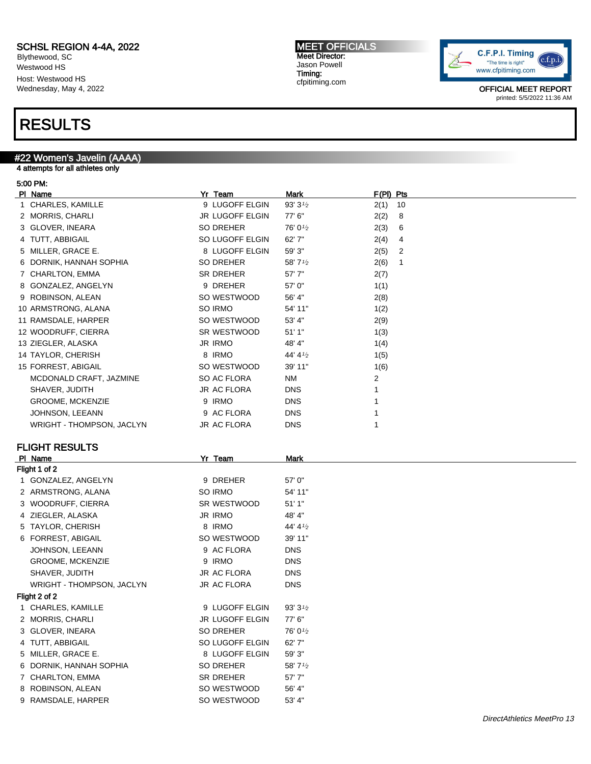Blythewood, SC Westwood HS Host: Westwood HS Wednesday, May 4, 2022

### RESULTS

#### #22 Women's Javelin (AAAA)

5 TAYLOR, CHERISH 8 IRMO 44' 41/2 6 FORREST, ABIGAIL SO WESTWOOD 39' 11" JOHNSON, LEEANN 9 AC FLORA DNS GROOME, MCKENZIE 9 IRMO DNS SHAVER, JUDITH JR AC FLORA DNS WRIGHT - THOMPSON, JACLYN JR AC FLORA DNS

1 CHARLES, KAMILLE 9 LUGOFF ELGIN 93' 3<sup>1</sup>/2 2 MORRIS, CHARLI JR LUGOFF ELGIN 77' 6" 3 GLOVER, INEARA SO DREHER 76' 01/2 4 TUTT, ABBIGAIL SO LUGOFF ELGIN 62' 7" 5 MILLER, GRACE E. 8 LUGOFF ELGIN 59' 3" 6 DORNIK, HANNAH SOPHIA SOPHONER 58' 7<sup>1/2</sup> 7 CHARLTON, EMMA SR DREHER 57' 7" 8 ROBINSON, ALEAN SO WESTWOOD 56' 4" 9 RAMSDALE, HARPER SO WESTWOOD 53' 4"

4 attempts for all athletes only

#### 5:00 PM:

Flight 2 of 2

| PI Name                   | Yr Team                | <b>Mark</b> | $F(PI)$ Pts            |
|---------------------------|------------------------|-------------|------------------------|
| 1 CHARLES, KAMILLE        | 9 LUGOFF ELGIN         | 93' 31/2    | 2(1)<br>10             |
| 2 MORRIS, CHARLI          | <b>JR LUGOFF ELGIN</b> | 77' 6"      | 2(2)<br>8              |
| 3 GLOVER, INEARA          | <b>SO DREHER</b>       | 76' 01/2    | 2(3)<br>6              |
| 4 TUTT, ABBIGAIL          | SO LUGOFF ELGIN        | 62' 7"      | 2(4)<br>4              |
| 5 MILLER, GRACE E.        | 8 LUGOFF ELGIN         | 59' 3"      | 2(5)<br>2              |
| 6 DORNIK, HANNAH SOPHIA   | <b>SO DREHER</b>       | 58' 71/2    | 2(6)<br>$\overline{1}$ |
| 7 CHARLTON, EMMA          | <b>SR DREHER</b>       | 57'7"       | 2(7)                   |
| 8 GONZALEZ, ANGELYN       | 9 DREHER               | 57' 0"      | 1(1)                   |
| 9 ROBINSON, ALEAN         | SO WESTWOOD            | 56' 4"      | 2(8)                   |
| 10 ARMSTRONG, ALANA       | SO IRMO                | 54' 11"     | 1(2)                   |
| 11 RAMSDALE, HARPER       | SO WESTWOOD            | 53' 4"      | 2(9)                   |
| 12 WOODRUFF, CIERRA       | SR WESTWOOD            | 51'1"       | 1(3)                   |
| 13 ZIEGLER, ALASKA        | <b>JR IRMO</b>         | 48' 4"      | 1(4)                   |
| 14 TAYLOR, CHERISH        | 8 IRMO                 | 44' 41/2    | 1(5)                   |
| 15 FORREST, ABIGAIL       | SO WESTWOOD            | 39' 11"     | 1(6)                   |
| MCDONALD CRAFT, JAZMINE   | SO AC FLORA            | <b>NM</b>   | 2                      |
| SHAVER, JUDITH            | <b>JR AC FLORA</b>     | <b>DNS</b>  |                        |
| <b>GROOME, MCKENZIE</b>   | 9 IRMO                 | <b>DNS</b>  |                        |
| JOHNSON, LEEANN           | 9 AC FLORA             | <b>DNS</b>  |                        |
| WRIGHT - THOMPSON, JACLYN | <b>JR AC FLORA</b>     | <b>DNS</b>  |                        |
| <b>FLIGHT RESULTS</b>     |                        |             |                        |
| PI Name                   | Yr Team                | <b>Mark</b> |                        |
| Flight 1 of 2             |                        |             |                        |
| 1 GONZALEZ, ANGELYN       | 9 DREHER               | 57' 0"      |                        |
| 2 ARMSTRONG, ALANA        | SO IRMO                | 54' 11"     |                        |
| 3 WOODRUFF, CIERRA        | SR WESTWOOD            | 51'1"       |                        |
| 4 ZIEGLER, ALASKA         | <b>JR IRMO</b>         | 48' 4"      |                        |



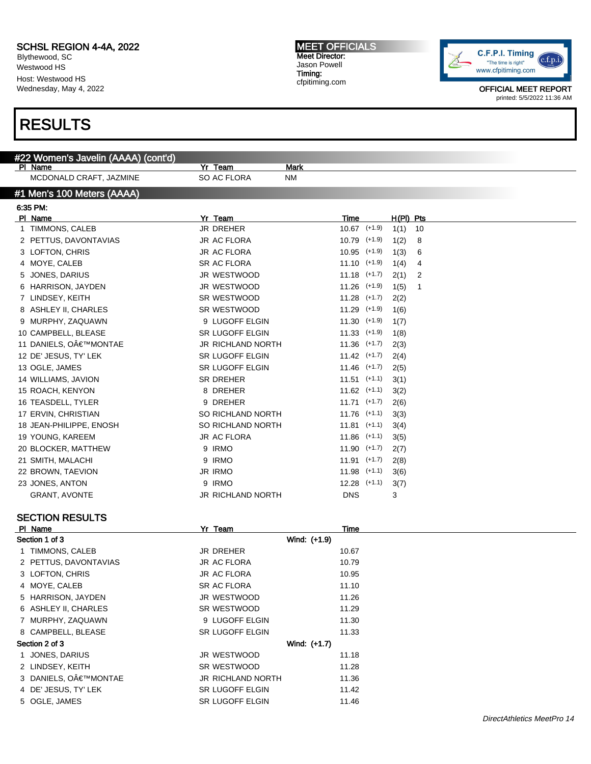Blythewood, SC Westwood HS Host: Westwood HS Wednesday, May 4, 2022

### RESULTS

#### #22 Women's Javelin (AAAA) (cont'd)

PI Name **Mark** Mark **Property Server All Accords** Mark Mark **Mark** 

MCDONALD CRAFT, JAZMINE SO AC FLORA NM

#### #1 Men's 100 Meters (AAAA)

| PI Name                 | Yr<br><b>Team</b>        | Time             |          | $H(PI)$ Pts |    |
|-------------------------|--------------------------|------------------|----------|-------------|----|
| 1 TIMMONS, CALEB        | <b>JR DREHER</b>         | $10.67$ $(+1.9)$ |          | 1(1)        | 10 |
| 2 PETTUS, DAVONTAVIAS   | <b>JR AC FLORA</b>       | $10.79$ $(+1.9)$ |          | 1(2)        | 8  |
| 3 LOFTON, CHRIS         | <b>JR AC FLORA</b>       | 10.95            | $(+1.9)$ | 1(3)        | 6  |
| 4 MOYE, CALEB           | <b>SR AC FLORA</b>       | $11.10$ $(+1.9)$ |          | 1(4)        | 4  |
| 5 JONES, DARIUS         | JR WESTWOOD              | $11.18$ $(+1.7)$ |          | 2(1)        | 2  |
| 6 HARRISON, JAYDEN      | JR WESTWOOD              | $11.26$ $(+1.9)$ |          | 1(5)        | 1  |
| 7 LINDSEY, KEITH        | SR WESTWOOD              | $11.28$ $(+1.7)$ |          | 2(2)        |    |
| 8 ASHLEY II, CHARLES    | SR WESTWOOD              | $11.29$ $(+1.9)$ |          | 1(6)        |    |
| 9 MURPHY, ZAQUAWN       | 9 LUGOFF ELGIN           | $11.30$ $(+1.9)$ |          | 1(7)        |    |
| 10 CAMPBELL, BLEASE     | <b>SR LUGOFF ELGIN</b>   | $11.33$ $(+1.9)$ |          | 1(8)        |    |
| 11 DANIELS, O€™MONTAE   | <b>JR RICHLAND NORTH</b> | $11.36$ $(+1.7)$ |          | 2(3)        |    |
| 12 DE' JESUS, TY' LEK   | <b>SR LUGOFF ELGIN</b>   | $11.42$ $(+1.7)$ |          | 2(4)        |    |
| 13 OGLE, JAMES          | <b>SR LUGOFF ELGIN</b>   | $11.46$ $(+1.7)$ |          | 2(5)        |    |
| 14 WILLIAMS, JAVION     | <b>SR DREHER</b>         | $11.51$ (+1.1)   |          | 3(1)        |    |
| 15 ROACH, KENYON        | 8 DREHER                 | $11.62$ (+1.1)   |          | 3(2)        |    |
| 16 TEASDELL, TYLER      | 9 DREHER                 | $11.71$ $(+1.7)$ |          | 2(6)        |    |
| 17 ERVIN, CHRISTIAN     | SO RICHLAND NORTH        | $11.76$ (+1.1)   |          | 3(3)        |    |
| 18 JEAN-PHILIPPE, ENOSH | SO RICHLAND NORTH        | $11.81$ (+1.1)   |          | 3(4)        |    |
| 19 YOUNG, KAREEM        | JR AC FLORA              | 11.86            | $(+1.1)$ | 3(5)        |    |
| 20 BLOCKER, MATTHEW     | 9 IRMO                   | $11.90$ $(+1.7)$ |          | 2(7)        |    |
| 21 SMITH, MALACHI       | 9 IRMO                   | 11.91            | $(+1.7)$ | 2(8)        |    |
| 22 BROWN, TAEVION       | <b>JR IRMO</b>           | $11.98$ (+1.1)   |          | 3(6)        |    |
| 23 JONES, ANTON         | <b>IRMO</b><br>9         | 12.28            | $(+1.1)$ | 3(7)        |    |
| <b>GRANT, AVONTE</b>    | <b>JR RICHLAND NORTH</b> | <b>DNS</b>       |          | 3           |    |

### SECTION RESULTS

| PI Name               | Yr Team                  | Time  |
|-----------------------|--------------------------|-------|
| Section 1 of 3        | Wind: (+1.9)             |       |
| 1 TIMMONS, CALEB      | <b>JR DREHER</b>         | 10.67 |
| 2 PETTUS, DAVONTAVIAS | JR AC FLORA              | 10.79 |
| 3 LOFTON, CHRIS       | <b>JR AC FLORA</b>       | 10.95 |
| 4 MOYE, CALEB         | <b>SR AC FLORA</b>       | 11.10 |
| 5 HARRISON, JAYDEN    | JR WESTWOOD              | 11.26 |
| 6 ASHLEY II, CHARLES  | SR WESTWOOD              | 11.29 |
| 7 MURPHY, ZAQUAWN     | 9 LUGOFF ELGIN           | 11.30 |
| 8 CAMPBELL, BLEASE    | <b>SR LUGOFF ELGIN</b>   | 11.33 |
| Section 2 of 3        | Wind: (+1.7)             |       |
| JONES, DARIUS         | JR WESTWOOD              | 11.18 |
| 2 LINDSEY, KEITH      | SR WESTWOOD              | 11.28 |
| 3 DANIELS, O€™MONTAE  | <b>JR RICHLAND NORTH</b> | 11.36 |
| 4 DE' JESUS, TY' LEK  | SR LUGOFF ELGIN          | 11.42 |
| 5 OGLE, JAMES         | <b>SR LUGOFF ELGIN</b>   | 11.46 |
|                       |                          |       |



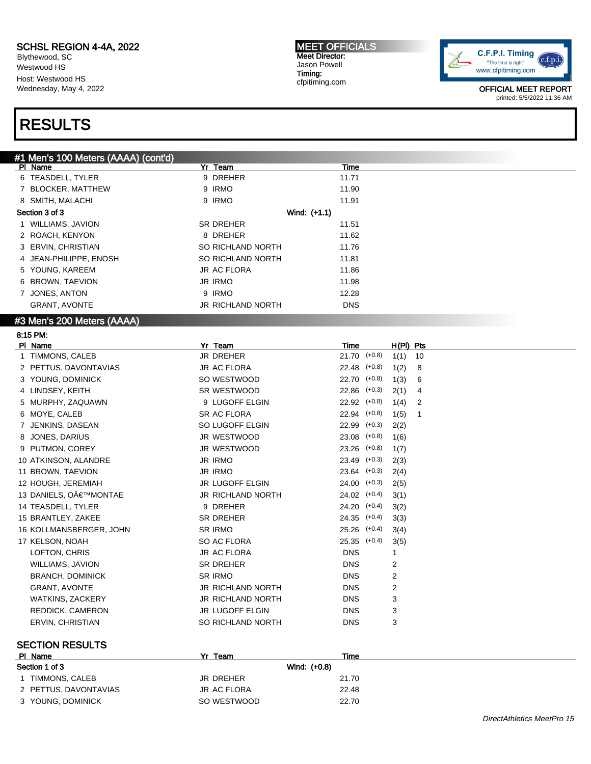Blythewood, SC Westwood HS Host: Westwood HS Wednesday, May 4, 2022

# RESULTS

#### MEET OFFICIALS Meet Director: Jason Powell Timing: cfpitiming.com



OFFICIAL MEET REPORT printed: 5/5/2022 11:36 AM

| #1 Men's 100 Meters (AAAA) (cont'd) |                          |                  |                  |                |    |
|-------------------------------------|--------------------------|------------------|------------------|----------------|----|
| PI Name                             | Yr Team                  | <u>Time</u>      |                  |                |    |
| 6 TEASDELL, TYLER                   | 9 DREHER                 | 11.71            |                  |                |    |
| 7 BLOCKER, MATTHEW                  | 9 IRMO                   | 11.90            |                  |                |    |
| 8 SMITH, MALACHI                    | 9 IRMO                   | 11.91            |                  |                |    |
| Section 3 of 3                      | Wind: (+1.1)             |                  |                  |                |    |
| 1 WILLIAMS, JAVION                  | SR DREHER                | 11.51            |                  |                |    |
| 2 ROACH, KENYON                     | 8 DREHER                 | 11.62            |                  |                |    |
| 3 ERVIN, CHRISTIAN                  | SO RICHLAND NORTH        | 11.76            |                  |                |    |
| 4 JEAN-PHILIPPE, ENOSH              | SO RICHLAND NORTH        | 11.81            |                  |                |    |
| 5 YOUNG, KAREEM                     | <b>JR AC FLORA</b>       | 11.86            |                  |                |    |
| 6 BROWN, TAEVION                    | <b>JR IRMO</b>           | 11.98            |                  |                |    |
| 7 JONES, ANTON                      | 9 IRMO                   | 12.28            |                  |                |    |
| <b>GRANT, AVONTE</b>                | JR RICHLAND NORTH        | <b>DNS</b>       |                  |                |    |
| #3 Men's 200 Meters (AAAA)          |                          |                  |                  |                |    |
| 8:15 PM.                            |                          |                  |                  |                |    |
| PI Name                             | Yr Team                  | <b>Time</b>      |                  | $H(PI)$ Pts    |    |
| 1 TIMMONS, CALEB                    | <b>JR DREHER</b>         | 21.70 (+0.8)     |                  | 1(1)           | 10 |
| 2 PETTUS, DAVONTAVIAS               | <b>JR AC FLORA</b>       | 22.48 (+0.8)     |                  | 1(2)           | 8  |
| 3 YOUNG, DOMINICK                   | SO WESTWOOD              | 22.70            | $(+0.8)$         | 1(3)           | 6  |
| 4 LINDSEY, KEITH                    | SR WESTWOOD              | 22.86            | $(+0.3)$         | 2(1)           | 4  |
| 5 MURPHY, ZAQUAWN                   | 9 LUGOFF ELGIN           | $22.92$ $(+0.8)$ |                  | 1(4)           | 2  |
| 6 MOYE, CALEB                       | <b>SR AC FLORA</b>       | 22.94 (+0.8)     |                  | 1(5)           | 1  |
| 7 JENKINS, DASEAN                   | SO LUGOFF ELGIN          | $22.99$ $(+0.3)$ |                  | 2(2)           |    |
| 8 JONES, DARIUS                     | JR WESTWOOD              | 23.08            | $(+0.8)$         | 1(6)           |    |
| 9 PUTMON, COREY                     | JR WESTWOOD              | 23.26            | $(+0.8)$         | 1(7)           |    |
| 10 ATKINSON, ALANDRE                | <b>JR IRMO</b>           | 23.49 (+0.3)     |                  | 2(3)           |    |
| 11 BROWN, TAEVION                   | <b>JR IRMO</b>           | 23.64 (+0.3)     |                  | 2(4)           |    |
| 12 HOUGH, JEREMIAH                  | <b>JR LUGOFF ELGIN</b>   | $24.00$ $(+0.3)$ |                  | 2(5)           |    |
| 13 DANIELS, O€™MONTAE               | JR RICHLAND NORTH        | $24.02$ $(+0.4)$ |                  | 3(1)           |    |
| 14 TEASDELL, TYLER                  | 9 DREHER                 |                  | $24.20$ $(+0.4)$ | 3(2)           |    |
| 15 BRANTLEY, ZAKEE                  | <b>SR DREHER</b>         | $24.35$ $(+0.4)$ |                  | 3(3)           |    |
| 16 KOLLMANSBERGER, JOHN             | <b>SR IRMO</b>           |                  | 25.26 (+0.4)     | 3(4)           |    |
| 17 KELSON, NOAH                     | SO AC FLORA              |                  | 25.35 (+0.4)     | 3(5)           |    |
| LOFTON, CHRIS                       | <b>JR AC FLORA</b>       | <b>DNS</b>       |                  | 1              |    |
| WILLIAMS, JAVION                    | SR DREHER                | <b>DNS</b>       |                  | 2              |    |
| <b>BRANCH, DOMINICK</b>             | <b>SR IRMO</b>           | <b>DNS</b>       |                  | $\overline{2}$ |    |
| <b>GRANT, AVONTE</b>                | <b>JR RICHLAND NORTH</b> | <b>DNS</b>       |                  | $\overline{2}$ |    |
| <b>WATKINS, ZACKERY</b>             | <b>JR RICHLAND NORTH</b> | <b>DNS</b>       |                  | 3              |    |
| REDDICK, CAMERON                    | JR LUGOFF ELGIN          | <b>DNS</b>       |                  | 3              |    |
| ERVIN, CHRISTIAN                    | SO RICHLAND NORTH        | <b>DNS</b>       |                  | 3              |    |
|                                     |                          |                  |                  |                |    |

#### SECTION RESULTS

| PI Name               | Yr Team      | Time  |
|-----------------------|--------------|-------|
| Section 1 of 3        | Wind: (+0.8) |       |
| TIMMONS. CALEB        | JR DREHER    | 21.70 |
| 2 PETTUS, DAVONTAVIAS | JR AC FLORA  | 22.48 |
| 3 YOUNG, DOMINICK     | SO WESTWOOD  | 22.70 |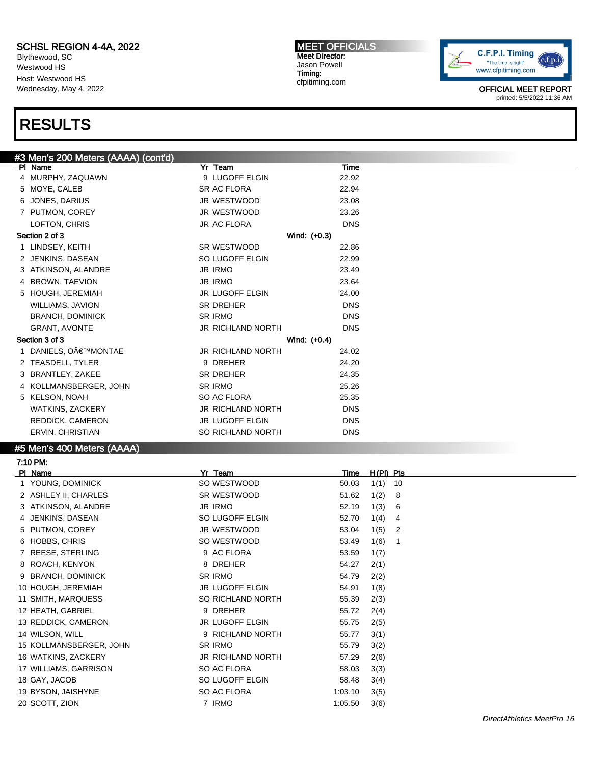Blythewood, SC Westwood HS Host: Westwood HS Wednesday, May 4, 2022

# RESULTS

MEET OFFICIALS Meet Director: Jason Powell Timing: cfpitiming.com



OFFICIAL MEET REPORT printed: 5/5/2022 11:36 AM

| PI Name                 | Yr Team                             | Time           |
|-------------------------|-------------------------------------|----------------|
| 4 MURPHY, ZAQUAWN       | 9 LUGOFF ELGIN                      | 22.92          |
| 5 MOYE, CALEB           | SR AC FLORA                         | 22.94          |
| 6 JONES, DARIUS         | JR WESTWOOD                         | 23.08          |
| 7 PUTMON, COREY         | JR WESTWOOD                         | 23.26          |
| LOFTON, CHRIS           | <b>JR AC FLORA</b>                  | <b>DNS</b>     |
| Section 2 of 3          |                                     | Wind: $(+0.3)$ |
| 1 LINDSEY, KEITH        | <b>SR WESTWOOD</b>                  | 22.86          |
| 2 JENKINS, DASEAN       | SO LUGOFF ELGIN                     | 22.99          |
| 3 ATKINSON, ALANDRE     | <b>JR IRMO</b>                      | 23.49          |
| 4 BROWN, TAEVION        | <b>JR IRMO</b>                      | 23.64          |
| 5 HOUGH, JEREMIAH       | <b>JR LUGOFF ELGIN</b>              | 24.00          |
| <b>WILLIAMS, JAVION</b> | <b>SR DREHER</b>                    | <b>DNS</b>     |
| <b>BRANCH, DOMINICK</b> | <b>SR IRMO</b>                      | <b>DNS</b>     |
| <b>GRANT, AVONTE</b>    | <b>JR RICHLAND NORTH</b>            | <b>DNS</b>     |
| Section 3 of 3          |                                     | Wind: (+0.4)   |
| DANIELS, O€™MONTAE      | <b>JR RICHLAND NORTH</b>            | 24.02          |
| 2 TEASDELL, TYLER       | 9 DREHER                            | 24.20          |
| 3 BRANTLEY, ZAKEE       | <b>SR DREHER</b>                    | 24.35          |
| 4 KOLLMANSBERGER, JOHN  | <b>SR IRMO</b>                      | 25.26          |
| 5 KELSON, NOAH          | SO AC FLORA                         | 25.35          |
| WATKINS, ZACKERY        | <b>JR RICHLAND NORTH</b>            | <b>DNS</b>     |
| REDDICK, CAMERON        | <b>JR LUGOFF ELGIN</b>              | <b>DNS</b>     |
| ERVIN, CHRISTIAN        | SO RICHLAND NORTH                   | <b>DNS</b>     |
|                         | #3 Men's 200 Meters (AAAA) (cont'd) |                |

#5 Men's 400 Meters (AAAA)

| 7:10 PM:                |                          |                 |                |
|-------------------------|--------------------------|-----------------|----------------|
| PI Name                 | Yr Team                  | Time            | $H(PI)$ Pts    |
| 1 YOUNG, DOMINICK       | SO WESTWOOD              | 1(1)<br>50.03   | 10             |
| 2 ASHLEY II, CHARLES    | SR WESTWOOD              | 1(2)<br>51.62   | 8              |
| 3 ATKINSON, ALANDRE     | JR IRMO                  | 1(3)<br>52.19   | 6              |
| 4 JENKINS, DASEAN       | SO LUGOFF ELGIN          | 52.70<br>1(4)   | 4              |
| 5 PUTMON, COREY         | JR WESTWOOD              | 1(5)<br>53.04   | $\overline{2}$ |
| 6 HOBBS, CHRIS          | SO WESTWOOD              | 1(6)<br>53.49   | -1             |
| 7 REESE, STERLING       | 9 AC FLORA               | 53.59<br>1(7)   |                |
| 8 ROACH, KENYON         | 8 DREHER                 | 54.27<br>2(1)   |                |
| 9 BRANCH, DOMINICK      | SR IRMO                  | 54.79<br>2(2)   |                |
| 10 HOUGH, JEREMIAH      | JR LUGOFF ELGIN          | 54.91<br>1(8)   |                |
| 11 SMITH, MARQUESS      | SO RICHLAND NORTH        | 55.39<br>2(3)   |                |
| 12 HEATH, GABRIEL       | 9 DREHER                 | 55.72<br>2(4)   |                |
| 13 REDDICK, CAMERON     | <b>JR LUGOFF ELGIN</b>   | 55.75<br>2(5)   |                |
| 14 WILSON, WILL         | 9 RICHLAND NORTH         | 55.77<br>3(1)   |                |
| 15 KOLLMANSBERGER, JOHN | SR IRMO                  | 55.79<br>3(2)   |                |
| 16 WATKINS, ZACKERY     | <b>JR RICHLAND NORTH</b> | 57.29<br>2(6)   |                |
| 17 WILLIAMS, GARRISON   | SO AC FLORA              | 58.03<br>3(3)   |                |
| 18 GAY, JACOB           | SO LUGOFF ELGIN          | 58.48<br>3(4)   |                |
| 19 BYSON, JAISHYNE      | SO AC FLORA              | 1:03.10<br>3(5) |                |
| 20 SCOTT, ZION          | 7 IRMO                   | 3(6)<br>1:05.50 |                |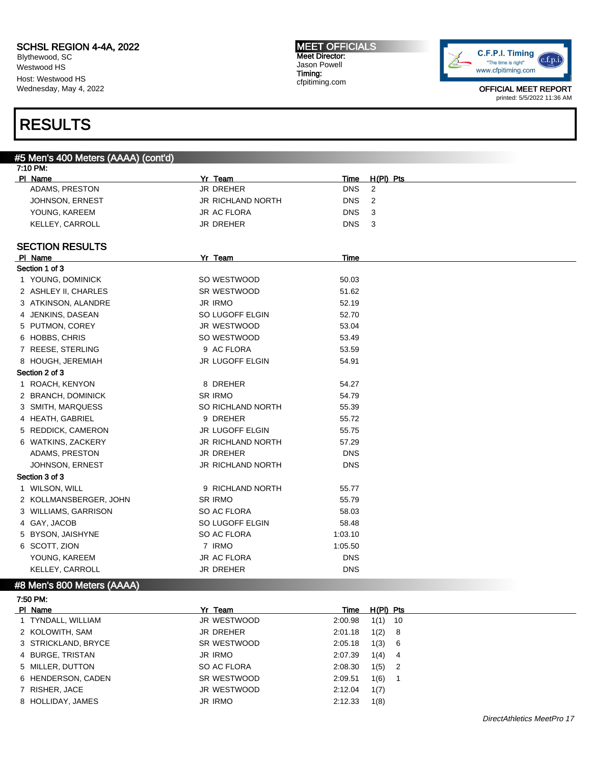Blythewood, SC Westwood HS Host: Westwood HS Wednesday, May 4, 2022

### RESULTS

7:50 PM:

### #5 Men's 400 Meters (AAAA) (cont'd)

| 7:10 PM: |                            |                          |            |                |
|----------|----------------------------|--------------------------|------------|----------------|
| PI Name  |                            | Yr Team                  | Time       | $H(PI)$ Pts    |
|          | ADAMS, PRESTON             | <b>JR DREHER</b>         | <b>DNS</b> | 2              |
|          | JOHNSON, ERNEST            | <b>JR RICHLAND NORTH</b> | <b>DNS</b> | $\overline{c}$ |
|          | YOUNG, KAREEM              | <b>JR AC FLORA</b>       | <b>DNS</b> | 3              |
|          | KELLEY, CARROLL            | <b>JR DREHER</b>         | <b>DNS</b> | 3              |
|          | <b>SECTION RESULTS</b>     |                          |            |                |
|          | PI Name                    | Yr Team                  | Time       |                |
|          | Section 1 of 3             |                          |            |                |
|          | 1 YOUNG, DOMINICK          | SO WESTWOOD              | 50.03      |                |
|          | 2 ASHLEY II, CHARLES       | SR WESTWOOD              | 51.62      |                |
|          | 3 ATKINSON, ALANDRE        | <b>JR IRMO</b>           | 52.19      |                |
|          | 4 JENKINS, DASEAN          | SO LUGOFF ELGIN          | 52.70      |                |
|          | 5 PUTMON, COREY            | JR WESTWOOD              | 53.04      |                |
|          | 6 HOBBS, CHRIS             | SO WESTWOOD              | 53.49      |                |
|          | 7 REESE, STERLING          | 9 AC FLORA               | 53.59      |                |
|          | 8 HOUGH, JEREMIAH          | JR LUGOFF ELGIN          | 54.91      |                |
|          | Section 2 of 3             |                          |            |                |
|          | 1 ROACH, KENYON            | 8 DREHER                 | 54.27      |                |
|          | 2 BRANCH, DOMINICK         | <b>SR IRMO</b>           | 54.79      |                |
|          | 3 SMITH, MARQUESS          | <b>SO RICHLAND NORTH</b> | 55.39      |                |
|          | 4 HEATH, GABRIEL           | 9 DREHER                 | 55.72      |                |
|          | 5 REDDICK, CAMERON         | JR LUGOFF ELGIN          | 55.75      |                |
|          | 6 WATKINS, ZACKERY         | JR RICHLAND NORTH        | 57.29      |                |
|          | ADAMS, PRESTON             | <b>JR DREHER</b>         | <b>DNS</b> |                |
|          | JOHNSON, ERNEST            | JR RICHLAND NORTH        | <b>DNS</b> |                |
|          | Section 3 of 3             |                          |            |                |
|          | 1 WILSON, WILL             | 9 RICHLAND NORTH         | 55.77      |                |
|          | 2 KOLLMANSBERGER, JOHN     | <b>SR IRMO</b>           | 55.79      |                |
|          | 3 WILLIAMS, GARRISON       | SO AC FLORA              | 58.03      |                |
|          | 4 GAY, JACOB               | SO LUGOFF ELGIN          | 58.48      |                |
|          | 5 BYSON, JAISHYNE          | SO AC FLORA              | 1:03.10    |                |
|          | 6 SCOTT, ZION              | 7 IRMO                   | 1:05.50    |                |
|          | YOUNG, KAREEM              | <b>JR AC FLORA</b>       | <b>DNS</b> |                |
|          | KELLEY, CARROLL            | <b>JR DREHER</b>         | <b>DNS</b> |                |
|          | #8 Men's 800 Meters (AAAA) |                          |            |                |

Pl Name Yr Team Time H(Pl) Pts TYNDALL, WILLIAM JR WESTWOOD 2:00.98 1(1) 10 KOLOWITH, SAM JR DREHER 2:01.18 1(2) 8 STRICKLAND, BRYCE SR WESTWOOD 2:05.18 1(3) 6 BURGE, TRISTAN JR IRMO 2:07.39 1(4) 4 MILLER, DUTTON SO AC FLORA 2:08.30 1(5) 2 HENDERSON, CADEN SR WESTWOOD 2:09.51 1(6) 1 RISHER, JACE JR WESTWOOD 2:12.04 1(7) HOLLIDAY, JAMES JR IRMO 2:12.33 1(8)

#### C.F.P.I. Timing "The time is right" www.cfpitiming.com

OFFICIAL MEET REPORT printed: 5/5/2022 11:36 AM

c.f.p.i

#### MEET OFFICIALS Meet Director: Jason Powell Timing: cfpitiming.com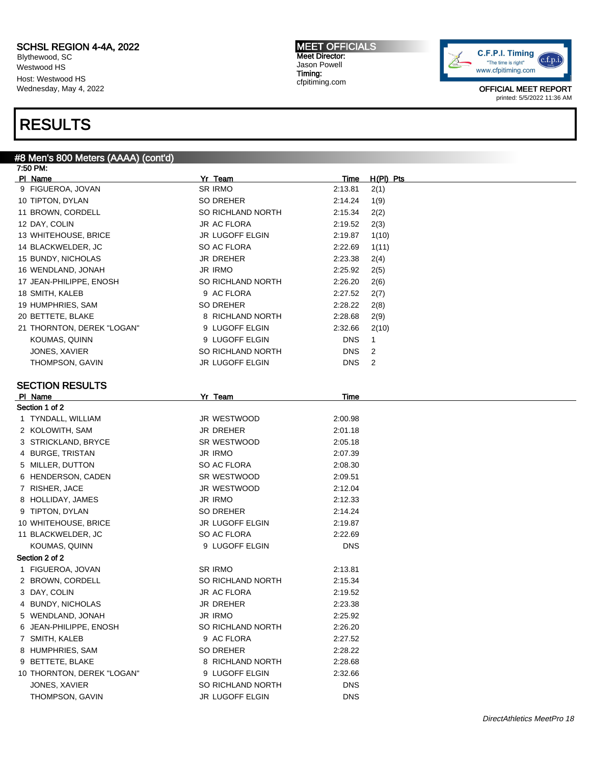Blythewood, SC Westwood HS Host: Westwood HS Wednesday, May 4, 2022

### RESULTS

#### #8 Men's 800 Meters (AAAA) (cont'd)

| 7:50 PM:                   |                        |             |                |
|----------------------------|------------------------|-------------|----------------|
| PI Name                    | Yr Team                | Time        | $H(PI)$ Pts    |
| 9 FIGUEROA, JOVAN          | SR IRMO                | 2:13.81     | 2(1)           |
| 10 TIPTON, DYLAN           | SO DREHER              | 2:14.24     | 1(9)           |
| 11 BROWN, CORDELL          | SO RICHLAND NORTH      | 2:15.34     | 2(2)           |
| 12 DAY, COLIN              | JR AC FLORA            | 2:19.52     | 2(3)           |
| 13 WHITEHOUSE, BRICE       | JR LUGOFF ELGIN        | 2:19.87     | 1(10)          |
| 14 BLACKWELDER, JC         | SO AC FLORA            | 2:22.69     | 1(11)          |
| 15 BUNDY, NICHOLAS         | JR DREHER              | 2:23.38     | 2(4)           |
| 16 WENDLAND, JONAH         | <b>JR IRMO</b>         | 2:25.92     | 2(5)           |
| 17 JEAN-PHILIPPE, ENOSH    | SO RICHLAND NORTH      | 2:26.20     | 2(6)           |
| 18 SMITH, KALEB            | 9 AC FLORA             | 2:27.52     | 2(7)           |
| 19 HUMPHRIES, SAM          | SO DREHER              | 2:28.22     | 2(8)           |
| 20 BETTETE, BLAKE          | 8 RICHLAND NORTH       | 2:28.68     | 2(9)           |
| 21 THORNTON, DEREK "LOGAN" | 9 LUGOFF ELGIN         | 2:32.66     | 2(10)          |
| KOUMAS, QUINN              | 9 LUGOFF ELGIN         | <b>DNS</b>  | $\mathbf{1}$   |
| JONES, XAVIER              | SO RICHLAND NORTH      | <b>DNS</b>  | $\overline{2}$ |
| THOMPSON, GAVIN            | JR LUGOFF ELGIN        | <b>DNS</b>  | $\overline{2}$ |
|                            |                        |             |                |
| <b>SECTION RESULTS</b>     |                        |             |                |
| PI Name                    | Yr Team                | <u>Time</u> |                |
| Section 1 of 2             |                        |             |                |
| 1 TYNDALL, WILLIAM         | JR WESTWOOD            | 2:00.98     |                |
| 2 KOLOWITH, SAM            | <b>JR DREHER</b>       | 2:01.18     |                |
| 3 STRICKLAND, BRYCE        | SR WESTWOOD            | 2:05.18     |                |
| 4 BURGE, TRISTAN           | <b>JR IRMO</b>         | 2:07.39     |                |
| 5 MILLER, DUTTON           | SO AC FLORA            | 2:08.30     |                |
| 6 HENDERSON, CADEN         | SR WESTWOOD            | 2:09.51     |                |
| 7 RISHER, JACE             | JR WESTWOOD            | 2:12.04     |                |
| 8 HOLLIDAY, JAMES          | <b>JR IRMO</b>         | 2:12.33     |                |
| 9 TIPTON, DYLAN            | SO DREHER              | 2:14.24     |                |
| 10 WHITEHOUSE, BRICE       | <b>JR LUGOFF ELGIN</b> | 2:19.87     |                |
| 11 BLACKWELDER, JC         | SO AC FLORA            | 2:22.69     |                |
| KOUMAS, QUINN              | 9 LUGOFF ELGIN         | <b>DNS</b>  |                |
| Section 2 of 2             |                        |             |                |
| 1 FIGUEROA, JOVAN          | <b>SR IRMO</b>         | 2:13.81     |                |
| 2 BROWN, CORDELL           | SO RICHLAND NORTH      | 2:15.34     |                |
| 3 DAY, COLIN               | JR AC FLORA            | 2:19.52     |                |
| 4 BUNDY, NICHOLAS          | JR DREHER              | 2:23.38     |                |
| 5 WENDLAND, JONAH          | <b>JR IRMO</b>         | 2:25.92     |                |
| 6 JEAN-PHILIPPE, ENOSH     | SO RICHLAND NORTH      | 2:26.20     |                |
| 7 SMITH, KALEB             | 9 AC FLORA             | 2:27.52     |                |
| 8 HUMPHRIES, SAM           | SO DREHER              | 2:28.22     |                |
| 9 BETTETE, BLAKE           | 8 RICHLAND NORTH       | 2:28.68     |                |
| 10 THORNTON, DEREK "LOGAN" | 9 LUGOFF ELGIN         | 2:32.66     |                |
| JONES, XAVIER              | SO RICHLAND NORTH      | <b>DNS</b>  |                |

THOMPSON, GAVIN DISCONSING THOMPSON, GAVIN

MEET OFFICIALS Meet Director: Jason Powell Timing: cfpitiming.com

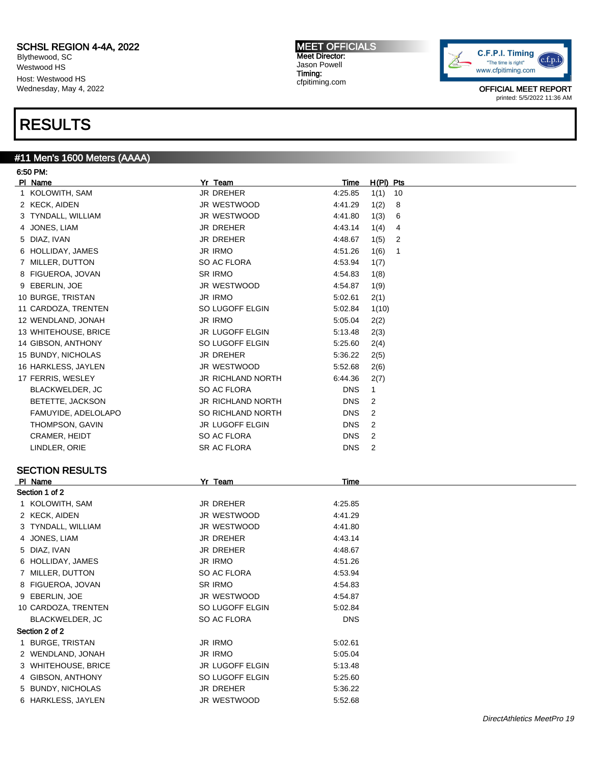Blythewood, SC Westwood HS Host: Westwood HS Wednesday, May 4, 2022

### RESULTS

#11 Men's 1600 Meters (AAAA) 6:50 PM: Pl Name Yr Team Time H(Pl) Pts 1 KOLOWITH, SAM JR DREHER 4:25.85 1(1) 10 2 KECK, AIDEN JR WESTWOOD 4:41.29 1(2) 8 3 TYNDALL, WILLIAM JR WESTWOOD 4:41.80 1(3) 6 4 JONES, LIAM JR DREHER 4:43.14 1(4) 4 5 DIAZ, IVAN JR DREHER 4:48.67 1(5) 2 6 HOLLIDAY, JAMES JR IRMO 4:51.26 1(6) 1

| 7 MILLER, DUTTON     | SO AC FLORA              | 4:53.94    | 1(7)         |
|----------------------|--------------------------|------------|--------------|
| 8 FIGUEROA, JOVAN    | SR IRMO                  | 4:54.83    | 1(8)         |
| 9 EBERLIN, JOE       | JR WESTWOOD              | 4:54.87    | 1(9)         |
| 10 BURGE, TRISTAN    | JR IRMO                  | 5:02.61    | 2(1)         |
| 11 CARDOZA, TRENTEN  | SO LUGOFF ELGIN          | 5:02.84    | 1(10)        |
| 12 WENDLAND, JONAH   | JR IRMO                  | 5:05.04    | 2(2)         |
| 13 WHITEHOUSE, BRICE | JR LUGOFF ELGIN          | 5:13.48    | 2(3)         |
| 14 GIBSON, ANTHONY   | SO LUGOFF ELGIN          | 5.25.60    | 2(4)         |
| 15 BUNDY, NICHOLAS   | JR DREHER                | 5:36.22    | 2(5)         |
| 16 HARKLESS, JAYLEN  | JR WESTWOOD              | 5.52.68    | 2(6)         |
| 17 FERRIS, WESLEY    | JR RICHLAND NORTH        | 6:44.36    | 2(7)         |
| BLACKWELDER, JC      | SO AC FLORA              | <b>DNS</b> | $\mathbf{1}$ |
| BETETTE, JACKSON     | <b>JR RICHLAND NORTH</b> | <b>DNS</b> | 2            |
| FAMUYIDE, ADELOLAPO  | SO RICHLAND NORTH        | <b>DNS</b> | 2            |
| THOMPSON, GAVIN      | JR LUGOFF ELGIN          | <b>DNS</b> | 2            |
| CRAMER, HEIDT        | SO AC FLORA              | <b>DNS</b> | 2            |
| LINDLER, ORIE        | SR AC FLORA              | <b>DNS</b> | 2            |

#### SECTION RESULTS

| PI Name             | Yr Team          | Time       |  |
|---------------------|------------------|------------|--|
| Section 1 of 2      |                  |            |  |
| 1 KOLOWITH, SAM     | <b>JR DREHER</b> | 4:25.85    |  |
| 2 KECK, AIDEN       | JR WESTWOOD      | 4:41.29    |  |
| 3 TYNDALL, WILLIAM  | JR WESTWOOD      | 4:41.80    |  |
| 4 JONES, LIAM       | <b>JR DREHER</b> | 4:43.14    |  |
| 5 DIAZ, IVAN        | JR DREHER        | 4:48.67    |  |
| 6 HOLLIDAY, JAMES   | JR IRMO          | 4:51.26    |  |
| 7 MILLER, DUTTON    | SO AC FLORA      | 4:53.94    |  |
| 8 FIGUEROA, JOVAN   | SR IRMO          | 4:54.83    |  |
| 9 EBERLIN, JOE      | JR WESTWOOD      | 4:54.87    |  |
| 10 CARDOZA, TRENTEN | SO LUGOFF ELGIN  | 5:02.84    |  |
| BLACKWELDER, JC     | SO AC FLORA      | <b>DNS</b> |  |
| Section 2 of 2      |                  |            |  |
| 1 BURGE, TRISTAN    | <b>JR IRMO</b>   | 5:02.61    |  |
| 2 WENDLAND, JONAH   | JR IRMO          | 5:05.04    |  |
| 3 WHITEHOUSE, BRICE | JR LUGOFF ELGIN  | 5:13.48    |  |
| 4 GIBSON, ANTHONY   | SO LUGOFF ELGIN  | 5:25.60    |  |
| 5 BUNDY, NICHOLAS   | JR DREHER        | 5:36.22    |  |
| 6 HARKLESS, JAYLEN  | JR WESTWOOD      | 5:52.68    |  |

MEET OFFICIALS Meet Director: Jason Powell Timing: cfpitiming.com

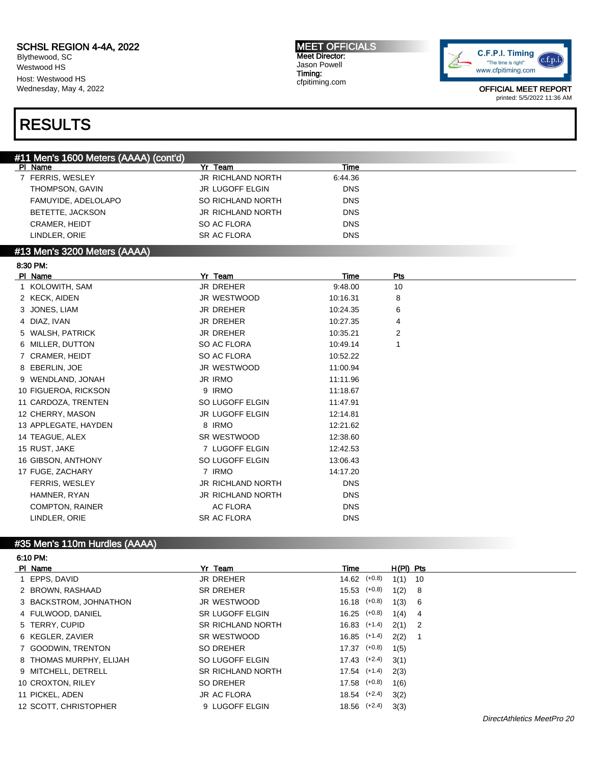Blythewood, SC Westwood HS Host: Westwood HS Wednesday, May 4, 2022 MEET OFFICIALS Meet Director: Jason Powell Timing: cfpitiming.com



OFFICIAL MEET REPORT printed: 5/5/2022 11:36 AM

### RESULTS

| #11 Men's 1600 Meters (AAAA) (cont'd) |                          |             |     |  |
|---------------------------------------|--------------------------|-------------|-----|--|
| PI Name                               | <b>Yr Team</b>           | <b>Time</b> |     |  |
| 7 FERRIS, WESLEY                      | <b>JR RICHLAND NORTH</b> | 6:44.36     |     |  |
| THOMPSON, GAVIN                       | JR LUGOFF ELGIN          | <b>DNS</b>  |     |  |
| FAMUYIDE, ADELOLAPO                   | SO RICHLAND NORTH        | <b>DNS</b>  |     |  |
| BETETTE, JACKSON                      | JR RICHLAND NORTH        | <b>DNS</b>  |     |  |
| CRAMER, HEIDT                         | SO AC FLORA              | <b>DNS</b>  |     |  |
| LINDLER, ORIE                         | SR AC FLORA              | <b>DNS</b>  |     |  |
| #13 Men's 3200 Meters (AAAA)          |                          |             |     |  |
| 8:30 PM:                              |                          |             |     |  |
| PI Name                               | Yr_Team                  | Time        | Pts |  |
| 1 KOLOWITH, SAM                       | JR DREHER                | 9:48.00     | 10  |  |
| 2 KECK, AIDEN                         | JR WESTWOOD              | 10:16.31    | 8   |  |
| 3 JONES, LIAM                         | <b>JR DREHER</b>         | 10:24.35    | 6   |  |
| 4 DIAZ, IVAN                          | <b>JR DREHER</b>         | 10:27.35    | 4   |  |
| 5 WALSH, PATRICK                      | JR DREHER                | 10:35.21    | 2   |  |
| 6 MILLER, DUTTON                      | SO AC FLORA              | 10:49.14    | 1   |  |
| 7 CRAMER, HEIDT                       | SO AC FLORA              | 10:52.22    |     |  |
| 8 EBERLIN, JOE                        | <b>JR WESTWOOD</b>       | 11:00.94    |     |  |
| 9 WENDLAND, JONAH                     | <b>JR IRMO</b>           | 11:11.96    |     |  |
| 10 FIGUEROA, RICKSON                  | 9 IRMO                   | 11:18.67    |     |  |
| 11 CARDOZA, TRENTEN                   | SO LUGOFF ELGIN          | 11:47.91    |     |  |
| 12 CHERRY, MASON                      | JR LUGOFF ELGIN          | 12:14.81    |     |  |
| 13 APPLEGATE, HAYDEN                  | 8 IRMO                   | 12:21.62    |     |  |
| 14 TEAGUE, ALEX                       | SR WESTWOOD              | 12:38.60    |     |  |
| 15 RUST, JAKE                         | 7 LUGOFF ELGIN           | 12:42.53    |     |  |
| 16 GIBSON, ANTHONY                    | SO LUGOFF ELGIN          | 13:06.43    |     |  |
| 17 FUGE, ZACHARY                      | 7 IRMO                   | 14:17.20    |     |  |
| <b>FERRIS, WESLEY</b>                 | <b>JR RICHLAND NORTH</b> | <b>DNS</b>  |     |  |
| HAMNER, RYAN                          | <b>JR RICHLAND NORTH</b> | <b>DNS</b>  |     |  |
| <b>COMPTON, RAINER</b>                | <b>AC FLORA</b>          | <b>DNS</b>  |     |  |
| LINDLER, ORIE                         | <b>SR AC FLORA</b>       | <b>DNS</b>  |     |  |
|                                       |                          |             |     |  |

#### #35 Men's 110m Hurdles (AAAA)

6:10 PM:

| PI Name                 | Yr Team                  | Time             | $H(PI)$ Pts |     |
|-------------------------|--------------------------|------------------|-------------|-----|
| 1 EPPS, DAVID           | JR DREHER                | $14.62$ $(+0.8)$ | 1(1)        | 10  |
| 2 BROWN, RASHAAD        | <b>SR DREHER</b>         | $15.53$ $(+0.8)$ | 1(2)        | - 8 |
| 3 BACKSTROM, JOHNATHON  | JR WESTWOOD              | $16.18$ $(+0.8)$ | 1(3)        | - 6 |
| 4 FULWOOD, DANIEL       | SR LUGOFF ELGIN          | $16.25$ $(+0.8)$ | $1(4)$ 4    |     |
| 5 TERRY, CUPID          | <b>SR RICHLAND NORTH</b> | $16.83$ $(+1.4)$ | $2(1)$ 2    |     |
| 6 KEGLER, ZAVIER        | SR WESTWOOD              | $16.85$ $(+1.4)$ | 2(2)        |     |
| 7 GOODWIN, TRENTON      | SO DREHER                | $17.37$ $(+0.8)$ | 1(5)        |     |
| 8 THOMAS MURPHY, ELIJAH | SO LUGOFF ELGIN          | $17.43$ $(+2.4)$ | 3(1)        |     |
| 9 MITCHELL, DETRELL     | <b>SR RICHLAND NORTH</b> | $17.54$ $(+1.4)$ | 2(3)        |     |
| 10 CROXTON, RILEY       | SO DREHER                | $17.58$ $(+0.8)$ | 1(6)        |     |
| 11 PICKEL, ADEN         | <b>JR AC FLORA</b>       | $18.54$ $(+2.4)$ | 3(2)        |     |
| 12 SCOTT, CHRISTOPHER   | 9 LUGOFF ELGIN           | $18.56$ $(+2.4)$ | 3(3)        |     |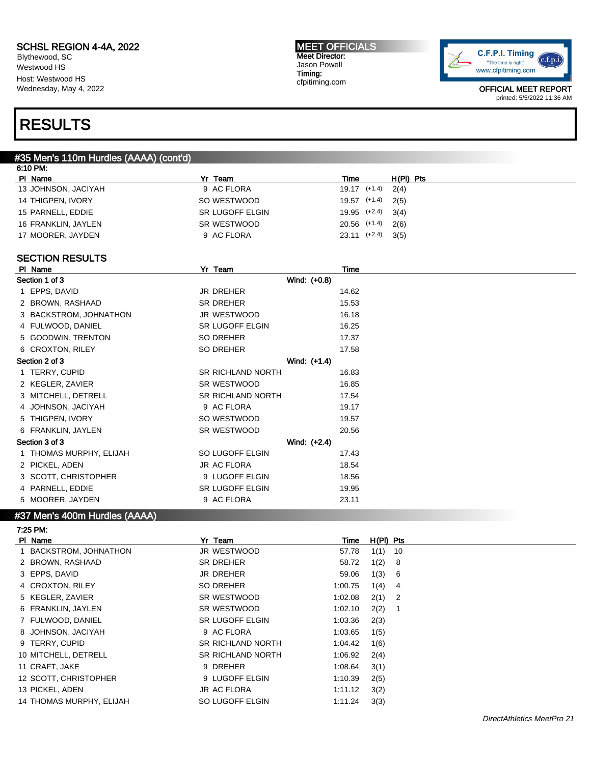Blythewood, SC Westwood HS Host: Westwood HS Wednesday, May 4, 2022

#### MEET OFFICIALS Meet Director: Jason Powell Timing: cfpitiming.com



OFFICIAL MEET REPORT printed: 5/5/2022 11:36 AM

### RESULTS

#### #35 Men's 110m Hurdles (AAAA) (cont'd)

| 6:10 PM:            |                 |                          |  |
|---------------------|-----------------|--------------------------|--|
| PI Name             | Yr Team         | $H(PI)$ Pts<br>Time      |  |
| 13 JOHNSON, JACIYAH | 9 AC FLORA      | $19.17$ $(+1.4)$<br>2(4) |  |
| 14 THIGPEN, IVORY   | SO WESTWOOD     | $19.57$ $(+1.4)$<br>2(5) |  |
| 15 PARNELL, EDDIE   | SR LUGOFF ELGIN | 19.95 (+2.4)<br>3(4)     |  |
| 16 FRANKLIN, JAYLEN | SR WESTWOOD     | $20.56$ $(+1.4)$<br>2(6) |  |
| 17 MOORER, JAYDEN   | 9 AC FLORA      | $23.11$ $(+2.4)$<br>3(5) |  |
|                     |                 |                          |  |

#### SECTION RESULTS

| PI Name                 | Yr Team                  | Time  |  |
|-------------------------|--------------------------|-------|--|
| Section 1 of 3          | Wind: (+0.8)             |       |  |
| 1 EPPS, DAVID           | JR DREHER                | 14.62 |  |
| 2 BROWN, RASHAAD        | SR DREHER                | 15.53 |  |
| 3 BACKSTROM, JOHNATHON  | JR WESTWOOD              | 16.18 |  |
| 4 FULWOOD, DANIEL       | <b>SR LUGOFF ELGIN</b>   | 16.25 |  |
| 5 GOODWIN, TRENTON      | SO DREHER                | 17.37 |  |
| 6 CROXTON, RILEY        | SO DREHER                | 17.58 |  |
| Section 2 of 3          | Wind: (+1.4)             |       |  |
| 1 TERRY, CUPID          | <b>SR RICHLAND NORTH</b> | 16.83 |  |
| 2 KEGLER, ZAVIER        | SR WESTWOOD              | 16.85 |  |
| 3 MITCHELL, DETRELL     | <b>SR RICHLAND NORTH</b> | 17.54 |  |
| 4 JOHNSON, JACIYAH      | 9 AC FLORA               | 19.17 |  |
| 5 THIGPEN, IVORY        | SO WESTWOOD              | 19.57 |  |
| 6 FRANKLIN, JAYLEN      | SR WESTWOOD              | 20.56 |  |
| Section 3 of 3          | Wind: (+2.4)             |       |  |
| 1 THOMAS MURPHY, ELIJAH | SO LUGOFF ELGIN          | 17.43 |  |
| 2 PICKEL, ADEN          | JR AC FLORA              | 18.54 |  |
| 3 SCOTT, CHRISTOPHER    | 9 LUGOFF ELGIN           | 18.56 |  |
| 4 PARNELL, EDDIE        | SR LUGOFF ELGIN          | 19.95 |  |
| 5 MOORER, JAYDEN        | 9 AC FLORA               | 23.11 |  |
|                         |                          |       |  |

### #37 Men's 400m Hurdles (AAAA)

7:25 PM:

| PI Name                  | Yr Team                  | Time    | H(PI) Pts    |
|--------------------------|--------------------------|---------|--------------|
| 1 BACKSTROM, JOHNATHON   | JR WESTWOOD              | 57.78   | 1(1)<br>- 10 |
| 2 BROWN, RASHAAD         | SR DREHER                | 58.72   | 1(2)<br>- 8  |
| 3 EPPS, DAVID            | JR DREHER                | 59.06   | 1(3)<br>- 6  |
| 4 CROXTON, RILEY         | SO DREHER                | 1:00.75 | 1(4)<br>-4   |
| 5 KEGLER, ZAVIER         | SR WESTWOOD              | 1:02.08 | $2(1)$ 2     |
| 6 FRANKLIN, JAYLEN       | SR WESTWOOD              | 1:02.10 | 2(2)         |
| 7 FULWOOD, DANIEL        | <b>SR LUGOFF ELGIN</b>   | 1:03.36 | 2(3)         |
| 8 JOHNSON, JACIYAH       | 9 AC FLORA               | 1:03.65 | 1(5)         |
| 9 TERRY, CUPID           | SR RICHLAND NORTH        | 1:04.42 | 1(6)         |
| 10 MITCHELL, DETRELL     | <b>SR RICHLAND NORTH</b> | 1:06.92 | 2(4)         |
| 11 CRAFT, JAKE           | 9 DREHER                 | 1:08.64 | 3(1)         |
| 12 SCOTT, CHRISTOPHER    | 9 LUGOFF ELGIN           | 1:10.39 | 2(5)         |
| 13 PICKEL, ADEN          | JR AC FLORA              | 1:11.12 | 3(2)         |
| 14 THOMAS MURPHY, ELIJAH | SO LUGOFF ELGIN          | 1:11.24 | 3(3)         |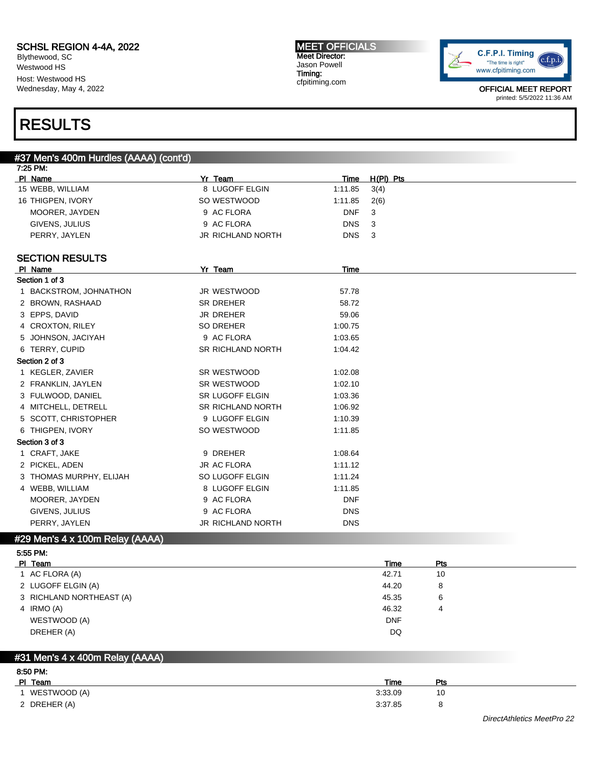Blythewood, SC Westwood HS Host: Westwood HS Wednesday, May 4, 2022

#### MEET OFFICIALS Meet Director: Jason Powell Timing: cfpitiming.com



OFFICIAL MEET REPORT printed: 5/5/2022 11:36 AM

### RESULTS

### #37 Men's 400m Hurdles (AAAA) (cont'd)

| 7:25 PM:                        |                          |            |             |
|---------------------------------|--------------------------|------------|-------------|
| PI Name                         | Yr Team                  | Time       | $H(PI)$ Pts |
| 15 WEBB, WILLIAM                | 8 LUGOFF ELGIN           | 1:11.85    | 3(4)        |
| 16 THIGPEN, IVORY               | SO WESTWOOD              | 1:11.85    | 2(6)        |
| MOORER, JAYDEN                  | 9 AC FLORA               | <b>DNF</b> | 3           |
| GIVENS, JULIUS                  | 9 AC FLORA               | <b>DNS</b> | 3           |
| PERRY, JAYLEN                   | <b>JR RICHLAND NORTH</b> | <b>DNS</b> | 3           |
| <b>SECTION RESULTS</b>          |                          |            |             |
| PI Name                         | Yr Team                  | Time       |             |
| Section 1 of 3                  |                          |            |             |
| 1 BACKSTROM, JOHNATHON          | JR WESTWOOD              | 57.78      |             |
| 2 BROWN, RASHAAD                | <b>SR DREHER</b>         | 58.72      |             |
| 3 EPPS, DAVID                   | <b>JR DREHER</b>         | 59.06      |             |
| 4 CROXTON, RILEY                | <b>SO DREHER</b>         | 1:00.75    |             |
| 5 JOHNSON, JACIYAH              | 9 AC FLORA               | 1:03.65    |             |
| 6 TERRY, CUPID                  | <b>SR RICHLAND NORTH</b> | 1:04.42    |             |
| Section 2 of 3                  |                          |            |             |
| 1 KEGLER, ZAVIER                | SR WESTWOOD              | 1:02.08    |             |
| 2 FRANKLIN, JAYLEN              | SR WESTWOOD              | 1:02.10    |             |
| 3 FULWOOD, DANIEL               | <b>SR LUGOFF ELGIN</b>   | 1:03.36    |             |
| 4 MITCHELL, DETRELL             | <b>SR RICHLAND NORTH</b> | 1:06.92    |             |
| 5 SCOTT, CHRISTOPHER            | 9 LUGOFF ELGIN           | 1:10.39    |             |
| 6 THIGPEN, IVORY                | SO WESTWOOD              | 1:11.85    |             |
| Section 3 of 3                  |                          |            |             |
| 1 CRAFT, JAKE                   | 9 DREHER                 | 1:08.64    |             |
| 2 PICKEL, ADEN                  | <b>JR AC FLORA</b>       | 1:11.12    |             |
| 3 THOMAS MURPHY, ELIJAH         | SO LUGOFF ELGIN          | 1:11.24    |             |
| 4 WEBB, WILLIAM                 | 8 LUGOFF ELGIN           | 1:11.85    |             |
| MOORER, JAYDEN                  | 9 AC FLORA               | <b>DNF</b> |             |
| GIVENS, JULIUS                  | 9 AC FLORA               | <b>DNS</b> |             |
| PERRY, JAYLEN                   | JR RICHLAND NORTH        | <b>DNS</b> |             |
| #29 Men's 4 x 100m Relay (AAAA) |                          |            |             |

| PI Team                  | Time       | Pts |
|--------------------------|------------|-----|
| 1 AC FLORA (A)           | 42.71      | 10  |
| 2 LUGOFF ELGIN (A)       | 44.20      | 8   |
| 3 RICHLAND NORTHEAST (A) | 45.35      | 6   |
| 4 IRMO (A)               | 46.32      | 4   |
| WESTWOOD (A)             | <b>DNF</b> |     |
| DREHER (A)               | DQ         |     |
|                          |            |     |

#### #31 Men's 4 x 400m Relay (AAAA)

| 8:50 PM:     |             |     |  |
|--------------|-------------|-----|--|
| PI Team      | <b>Time</b> | Pts |  |
| WESTWOOD (A) | 3:33.09     | 10  |  |
| 2 DREHER (A) | 3:37.85     |     |  |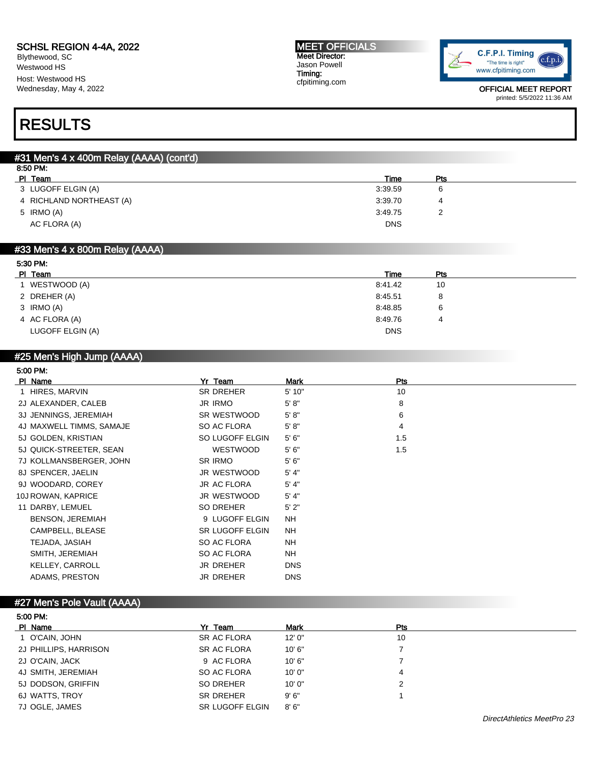Blythewood, SC Westwood HS Host: Westwood HS Wednesday, May 4, 2022

#### MEET OFFICIALS Meet Director: Jason Powell Timing: cfpitiming.com



OFFICIAL MEET REPORT printed: 5/5/2022 11:36 AM

## RESULTS

| #31 Men's 4 x 400m Relay (AAAA) (cont'd) |            |     |  |  |  |
|------------------------------------------|------------|-----|--|--|--|
| 8:50 PM:                                 |            |     |  |  |  |
| PI Team                                  | Time       | Pts |  |  |  |
| 3 LUGOFF ELGIN (A)                       | 3:39.59    | 6   |  |  |  |
| 4 RICHLAND NORTHEAST (A)                 | 3:39.70    | 4   |  |  |  |
| 5 IRMO (A)                               | 3:49.75    |     |  |  |  |
| AC FLORA (A)                             | <b>DNS</b> |     |  |  |  |
|                                          |            |     |  |  |  |

#### #33 Men's 4 x 800m Relay (AAAA)

| 5:30 PM:         |            |     |  |
|------------------|------------|-----|--|
| PI Team          | Time       | Pts |  |
| WESTWOOD (A)     | 8:41.42    | 10  |  |
| 2 DREHER (A)     | 8:45.51    | 8   |  |
| 3 IRMO (A)       | 8:48.85    | 6   |  |
| 4 AC FLORA (A)   | 8:49.76    | 4   |  |
| LUGOFF ELGIN (A) | <b>DNS</b> |     |  |
|                  |            |     |  |

### #25 Men's High Jump (AAAA)

| 5:00 PM: |
|----------|
|----------|

| PI Name                  | Yr Team            | Mark       | Pts |
|--------------------------|--------------------|------------|-----|
| 1 HIRES, MARVIN          | <b>SR DREHER</b>   | 5' 10"     | 10  |
| 2J ALEXANDER, CALEB      | <b>JR IRMO</b>     | 5' 8''     | 8   |
| 3J JENNINGS, JEREMIAH    | SR WESTWOOD        | 5' 8''     | 6   |
| 4J MAXWELL TIMMS, SAMAJE | SO AC FLORA        | 5' 8''     | 4   |
| 5J GOLDEN, KRISTIAN      | SO LUGOFF ELGIN    | 5'6''      | 1.5 |
| 5J QUICK-STREETER, SEAN  | <b>WESTWOOD</b>    | 5'6''      | 1.5 |
| 7J KOLLMANSBERGER, JOHN  | SR IRMO            | 5'6''      |     |
| 8J SPENCER, JAELIN       | JR WESTWOOD        | 5' 4"      |     |
| 9J WOODARD, COREY        | <b>JR AC FLORA</b> | 5' 4"      |     |
| 10J ROWAN, KAPRICE       | JR WESTWOOD        | 5' 4"      |     |
| 11 DARBY, LEMUEL         | SO DREHER          | 5'2"       |     |
| <b>BENSON, JEREMIAH</b>  | 9 LUGOFF ELGIN     | <b>NH</b>  |     |
| CAMPBELL, BLEASE         | SR LUGOFF ELGIN    | NH.        |     |
| TEJADA, JASIAH           | SO AC FLORA        | <b>NH</b>  |     |
| SMITH, JEREMIAH          | SO AC FLORA        | <b>NH</b>  |     |
| KELLEY, CARROLL          | <b>JR DREHER</b>   | <b>DNS</b> |     |
| ADAMS, PRESTON           | JR DREHER          | <b>DNS</b> |     |

#### #27 Men's Pole Vault (AAAA)

5:00 PM:

| 5:00 PM:              |                        |             |            |  |  |
|-----------------------|------------------------|-------------|------------|--|--|
| PI Name               | Yr Team                | <b>Mark</b> | <b>Pts</b> |  |  |
| 1 O'CAIN, JOHN        | SR AC FLORA            | 12'0''      | 10         |  |  |
| 2J PHILLIPS, HARRISON | SR AC FLORA            | 10'6"       |            |  |  |
| 2J O'CAIN, JACK       | 9 AC FLORA             | 10'6"       |            |  |  |
| 4J SMITH, JEREMIAH    | SO AC FLORA            | 10'0''      | 4          |  |  |
| 5J DODSON, GRIFFIN    | SO DREHER              | 10'0''      |            |  |  |
| 6J WATTS, TROY        | SR DREHER              | 9'6''       |            |  |  |
| 7J OGLE, JAMES        | <b>SR LUGOFF ELGIN</b> | 8'6''       |            |  |  |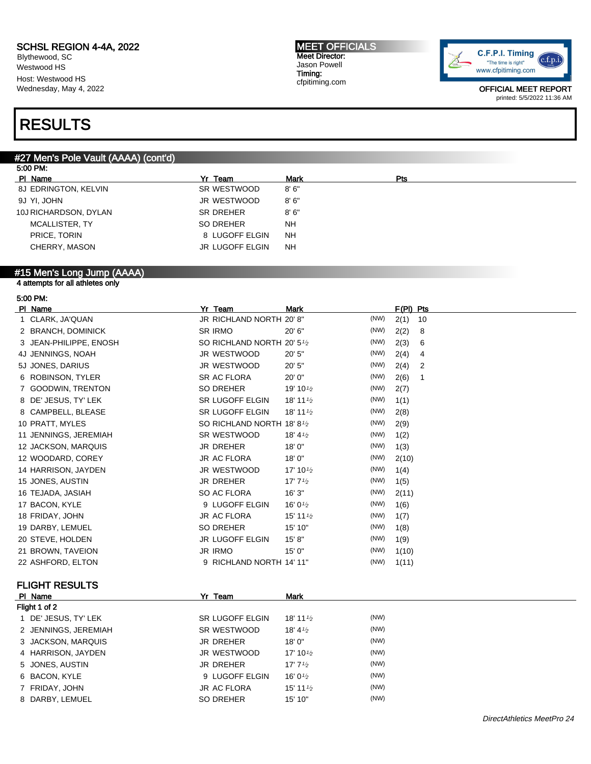Blythewood, SC Westwood HS Host: Westwood HS Wednesday, May 4, 2022

#### MEET OFFICIALS Meet Director: Jason Powell Timing: cfpitiming.com



OFFICIAL MEET REPORT printed: 5/5/2022 11:36 AM

# RESULTS

#### #27 Men's Pole Vault (AAAA) (cont'd)

| 5:00 PM:              |                 |             |     |  |  |
|-----------------------|-----------------|-------------|-----|--|--|
| PI Name               | Yr Team         | <b>Mark</b> | Pts |  |  |
| 8J EDRINGTON, KELVIN  | SR WESTWOOD     | 8'6''       |     |  |  |
| 9J YI, JOHN           | JR WESTWOOD     | 8'6''       |     |  |  |
| 10J RICHARDSON, DYLAN | SR DREHER       | 8'6''       |     |  |  |
| MCALLISTER, TY        | SO DREHER       | <b>NH</b>   |     |  |  |
| PRICE, TORIN          | 8 LUGOFF ELGIN  | <b>NH</b>   |     |  |  |
| CHERRY, MASON         | JR LUGOFF ELGIN | <b>NH</b>   |     |  |  |
|                       |                 |             |     |  |  |

#### #15 Men's Long Jump (AAAA)

4 attempts for all athletes only

| 5:00 PM:               |                                         |                                    |      |             |
|------------------------|-----------------------------------------|------------------------------------|------|-------------|
| PI Name                | Yr Team                                 | <b>Mark</b>                        |      | $F(PI)$ Pts |
| 1 CLARK, JA'QUAN       | JR RICHLAND NORTH 20' 8"                |                                    | (NW) | 2(1)<br>10  |
| 2 BRANCH, DOMINICK     | <b>SR IRMO</b>                          | 20' 6"                             | (NW) | 2(2)<br>8   |
| 3 JEAN-PHILIPPE, ENOSH | SO RICHLAND NORTH 20' 5 <sup>1</sup> /2 |                                    | (NW) | 2(3)<br>6   |
| 4J JENNINGS, NOAH      | JR WESTWOOD                             | 20' 5"                             | (NW) | 2(4)<br>4   |
| 5J JONES, DARIUS       | JR WESTWOOD                             | 20' 5"                             | (NW) | 2(4)<br>2   |
| 6 ROBINSON, TYLER      | <b>SR AC FLORA</b>                      | 20'0''                             | (NW) | 2(6)<br>1   |
| 7 GOODWIN, TRENTON     | <b>SO DREHER</b>                        | 19' 10 <sup>1</sup> / <sub>2</sub> | (NW) | 2(7)        |
| 8 DE' JESUS, TY' LEK   | SR LUGOFF ELGIN                         | 18' 11 $\frac{1}{2}$               | (NW) | 1(1)        |
| 8 CAMPBELL, BLEASE     | <b>SR LUGOFF ELGIN</b>                  | 18' 11 $\frac{1}{2}$               | (NW) | 2(8)        |
| 10 PRATT, MYLES        | SO RICHLAND NORTH 18' 8 <sup>1</sup> /2 |                                    | (NW) | 2(9)        |
| 11 JENNINGS, JEREMIAH  | SR WESTWOOD                             | 18' $4\frac{1}{2}$                 | (NW) | 1(2)        |
| 12 JACKSON, MARQUIS    | <b>JR DREHER</b>                        | 18'0"                              | (NW) | 1(3)        |
| 12 WOODARD, COREY      | <b>JR AC FLORA</b>                      | 18'0"                              | (NW) | 2(10)       |
| 14 HARRISON, JAYDEN    | JR WESTWOOD                             | 17' 10 $\frac{1}{2}$               | (NW) | 1(4)        |
| 15 JONES, AUSTIN       | <b>JR DREHER</b>                        | 17' $7\frac{1}{2}$                 | (NW) | 1(5)        |
| 16 TEJADA, JASIAH      | SO AC FLORA                             | 16'3''                             | (NW) | 2(11)       |
| 17 BACON, KYLE         | 9 LUGOFF ELGIN                          | 16' 0 $\frac{1}{2}$                | (NW) | 1(6)        |
| 18 FRIDAY, JOHN        | <b>JR AC FLORA</b>                      | 15' 11 $\frac{1}{2}$               | (NW) | 1(7)        |
| 19 DARBY, LEMUEL       | <b>SO DREHER</b>                        | 15' 10"                            | (NW) | 1(8)        |
| 20 STEVE, HOLDEN       | <b>JR LUGOFF ELGIN</b>                  | 15' 8''                            | (NW) | 1(9)        |
| 21 BROWN, TAVEION      | <b>JR IRMO</b>                          | 15'0''                             | (NW) | 1(10)       |
| 22 ASHFORD, ELTON      | 9 RICHLAND NORTH 14' 11"                |                                    | (NW) | 1(11)       |

#### FLIGHT RESULTS

| PI Name              | Yr Team            | <b>Mark</b>          |      |  |
|----------------------|--------------------|----------------------|------|--|
| Flight 1 of 2        |                    |                      |      |  |
| 1 DE' JESUS, TY' LEK | SR LUGOFF ELGIN    | 18' 11 $\frac{1}{2}$ | (NW) |  |
| 2 JENNINGS, JEREMIAH | SR WESTWOOD        | 18' 4 $\frac{1}{2}$  | (NW) |  |
| 3 JACKSON, MARQUIS   | JR DREHER          | 18'0''               | (NW) |  |
| 4 HARRISON, JAYDEN   | JR WESTWOOD        | 17' 10 $\frac{1}{2}$ | (NW) |  |
| 5 JONES, AUSTIN      | <b>JR DREHER</b>   | 17' $7\frac{1}{2}$   | (NW) |  |
| 6 BACON, KYLE        | 9 LUGOFF ELGIN     | 16' 0 $\frac{1}{2}$  | (NW) |  |
| 7 FRIDAY, JOHN       | <b>JR AC FLORA</b> | 15' 11 $\frac{1}{2}$ | (NW) |  |
| 8 DARBY, LEMUEL      | SO DREHER          | 15' 10"              | (NW) |  |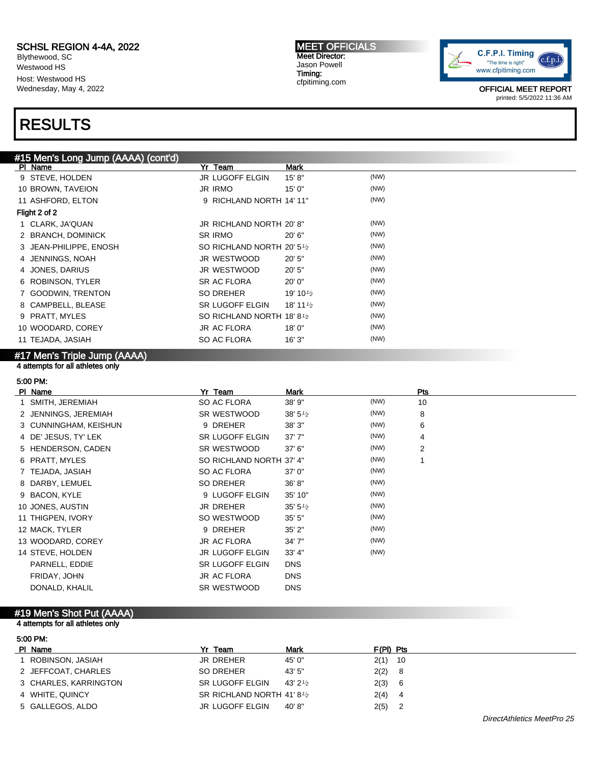Blythewood, SC Westwood HS Host: Westwood HS Wednesday, May 4, 2022

# RESULTS

MEET OFFICIALS Meet Director: Jason Powell Timing: cfpitiming.com



OFFICIAL MEET REPORT printed: 5/5/2022 11:36 AM

| #15 Men's Long Jump (AAAA) (cont'd) |                                         |                      |      |
|-------------------------------------|-----------------------------------------|----------------------|------|
| PI Name                             | Yr Team                                 | Mark                 |      |
| 9 STEVE, HOLDEN                     | JR LUGOFF ELGIN                         | 15' 8''              | (NW) |
| 10 BROWN, TAVEION                   | <b>JR IRMO</b>                          | 15'0''               | (NW) |
| 11 ASHFORD, ELTON                   | 9 RICHLAND NORTH 14' 11"                |                      | (NW) |
| Flight 2 of 2                       |                                         |                      |      |
| 1 CLARK, JA'QUAN                    | JR RICHLAND NORTH 20' 8"                |                      | (NW) |
| 2 BRANCH, DOMINICK                  | <b>SR IRMO</b>                          | 20' 6"               | (NW) |
| 3 JEAN-PHILIPPE, ENOSH              | SO RICHLAND NORTH 20' 5 <sup>1</sup> /2 |                      | (NW) |
| 4 JENNINGS, NOAH                    | JR WESTWOOD                             | 20'5''               | (NW) |
| 4 JONES, DARIUS                     | JR WESTWOOD                             | 20'5"                | (NW) |
| 6 ROBINSON, TYLER                   | SR AC FLORA                             | 20'0''               | (NW) |
| 7 GOODWIN, TRENTON                  | SO DREHER                               | 19' 10 $\frac{1}{2}$ | (NW) |
| 8 CAMPBELL, BLEASE                  | <b>SR LUGOFF ELGIN</b>                  | 18' 11 $\frac{1}{2}$ | (NW) |
| 9 PRATT, MYLES                      | SO RICHLAND NORTH 18' 8 <sup>1</sup> /2 |                      | (NW) |
| 10 WOODARD, COREY                   | JR AC FLORA                             | 18'0''               | (NW) |
| 11 TEJADA, JASIAH                   | SO AC FLORA                             | 16'3''               | (NW) |
|                                     |                                         |                      |      |

#### #17 Men's Triple Jump (AAAA) 4 attempts for all athletes only

#### 5:00 PM:

| PI Name               | Yr Team                  | <b>Mark</b>        |      | Pts            |
|-----------------------|--------------------------|--------------------|------|----------------|
| 1 SMITH, JEREMIAH     | SO AC FLORA              | 38' 9"             | (NW) | 10             |
| 2 JENNINGS, JEREMIAH  | SR WESTWOOD              | 38' $5\frac{1}{2}$ | (NW) | 8              |
| 3 CUNNINGHAM, KEISHUN | 9 DREHER                 | 38'3''             | (NW) | 6              |
| 4 DE' JESUS, TY' LEK  | <b>SR LUGOFF ELGIN</b>   | 37'7''             | (NW) | 4              |
| 5 HENDERSON, CADEN    | SR WESTWOOD              | 37' 6"             | (NW) | $\overline{2}$ |
| 6 PRATT, MYLES        | SO RICHLAND NORTH 37' 4" |                    | (NW) | 1              |
| 7 TEJADA, JASIAH      | SO AC FLORA              | 37'0''             | (NW) |                |
| 8 DARBY, LEMUEL       | SO DREHER                | 36' 8''            | (NW) |                |
| 9 BACON, KYLE         | 9 LUGOFF ELGIN           | 35' 10"            | (NW) |                |
| 10 JONES, AUSTIN      | <b>JR DREHER</b>         | $35' 5\frac{1}{2}$ | (NW) |                |
| 11 THIGPEN, IVORY     | SO WESTWOOD              | 35'5''             | (NW) |                |
| 12 MACK, TYLER        | 9 DREHER                 | $35'$ $2"$         | (NW) |                |
| 13 WOODARD, COREY     | <b>JR AC FLORA</b>       | 34'7''             | (NW) |                |
| 14 STEVE, HOLDEN      | <b>JR LUGOFF ELGIN</b>   | 33' 4"             | (NW) |                |
| PARNELL, EDDIE        | <b>SR LUGOFF ELGIN</b>   | <b>DNS</b>         |      |                |
| FRIDAY, JOHN          | <b>JR AC FLORA</b>       | <b>DNS</b>         |      |                |
| DONALD, KHALIL        | SR WESTWOOD              | <b>DNS</b>         |      |                |
|                       |                          |                    |      |                |

#### #19 Men's Shot Put (AAAA)

#### 4 attempts for all athletes only

5:00 PM:

| PI Name               | Yr<br>Team                | <b>Mark</b>         | $F(PI)$ Pts |     |
|-----------------------|---------------------------|---------------------|-------------|-----|
| ROBINSON, JASIAH      | JR DREHER                 | 45' 0"              | $2(1)$ 10   |     |
| 2 JEFFCOAT, CHARLES   | SO DREHER                 | 43'5''              | 2(2)        | - 8 |
| 3 CHARLES, KARRINGTON | SR LUGOFF ELGIN           | 43' 2 $\frac{1}{2}$ | 2(3)        | -6  |
| 4 WHITE, QUINCY       | SR RICHLAND NORTH 41'81/2 |                     | 2(4)        | -4  |
| 5 GALLEGOS, ALDO      | JR LUGOFF ELGIN           | 40' 8"              | 2(5)        |     |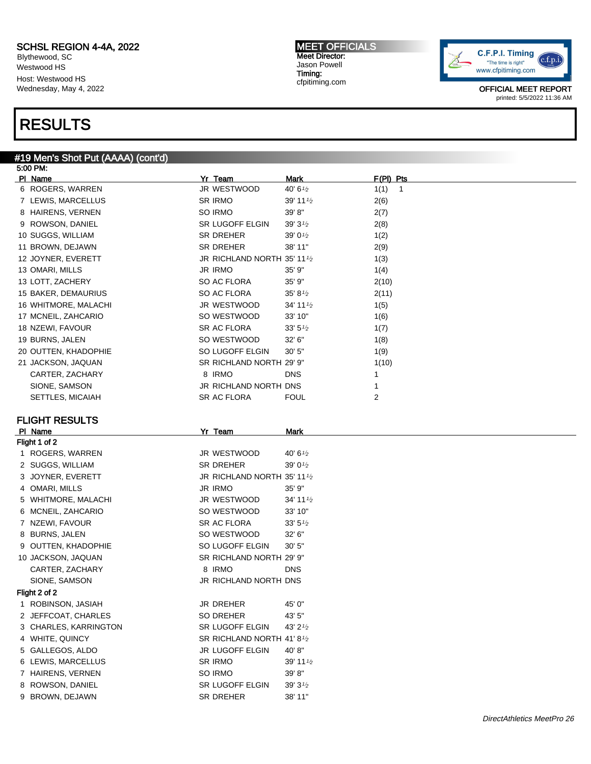Blythewood, SC Westwood HS Host: Westwood HS Wednesday, May 4, 2022

### RESULTS

#### #19 Men's Shot Put (AAAA) (cont'd) 5:00 PM:

| PI Name                           | Yr Team<br><b>Mark</b>                            | F(PI) Pts            |
|-----------------------------------|---------------------------------------------------|----------------------|
| 6 ROGERS, WARREN                  | JR WESTWOOD<br>40' 6 <sup>1/2</sup>               | 1(1)<br>$\mathbf{1}$ |
| 7 LEWIS, MARCELLUS                | SR IRMO<br>39' 11 <sup><math>1/2</math></sup>     | 2(6)                 |
| 8 HAIRENS, VERNEN                 | SO IRMO<br>39'8"                                  | 2(7)                 |
| 9 ROWSON, DANIEL                  | SR LUGOFF ELGIN<br>$39'3\frac{1}{2}$              | 2(8)                 |
| 10 SUGGS, WILLIAM                 | SR DREHER<br>39' 0 $\frac{1}{2}$                  | 1(2)                 |
| 11 BROWN, DEJAWN                  | SR DREHER<br>38' 11"                              | 2(9)                 |
| 12 JOYNER, EVERETT                | JR RICHLAND NORTH 35' 111/2                       | 1(3)                 |
| 13 OMARI, MILLS                   | <b>JR IRMO</b><br>35' 9"                          | 1(4)                 |
| 13 LOTT, ZACHERY                  | SO AC FLORA<br>35' 9"                             | 2(10)                |
| 15 BAKER, DEMAURIUS               | SO AC FLORA<br>$35' 8\frac{1}{2}$                 | 2(11)                |
| 16 WHITMORE, MALACHI              | JR WESTWOOD<br>34' 11 <sup><math>1/2</math></sup> | 1(5)                 |
| 17 MCNEIL, ZAHCARIO               | SO WESTWOOD<br>33' 10"                            | 1(6)                 |
| 18 NZEWI, FAVOUR                  | SR AC FLORA<br>$33' 5\frac{1}{2}$                 | 1(7)                 |
| 19 BURNS, JALEN                   | SO WESTWOOD<br>32' 6"                             | 1(8)                 |
| 20 OUTTEN, KHADOPHIE              | SO LUGOFF ELGIN<br>30'5"                          | 1(9)                 |
| 21 JACKSON, JAQUAN                | SR RICHLAND NORTH 29' 9"                          | 1(10)                |
| CARTER, ZACHARY                   | 8 IRMO<br><b>DNS</b>                              | 1                    |
| SIONE, SAMSON                     | JR RICHLAND NORTH DNS                             | 1                    |
| SETTLES, MICAIAH                  | SR AC FLORA<br><b>FOUL</b>                        | 2                    |
|                                   |                                                   |                      |
| <b>FLIGHT RESULTS</b>             |                                                   |                      |
| PI Name                           | Yr Team<br><b>Mark</b>                            |                      |
| Flight 1 of 2<br>1 ROGERS, WARREN | JR WESTWOOD<br>40' 6 $\frac{1}{2}$                |                      |
| 2 SUGGS, WILLIAM                  | <b>SR DREHER</b><br>$39'0\frac{1}{2}$             |                      |
| 3 JOYNER, EVERETT                 | JR RICHLAND NORTH 35' 111/2                       |                      |
| 4 OMARI, MILLS                    | <b>JR IRMO</b><br>35' 9"                          |                      |
| 5 WHITMORE, MALACHI               | JR WESTWOOD<br>34' 11'                            |                      |
| 6 MCNEIL, ZAHCARIO                | SO WESTWOOD<br>33' 10"                            |                      |
| 7 NZEWI, FAVOUR                   | SR AC FLORA                                       |                      |
| 8 BURNS, JALEN                    | 33'5'' <sub>2</sub><br>SO WESTWOOD<br>32' 6"      |                      |
| 9 OUTTEN, KHADOPHIE               | SO LUGOFF ELGIN<br>30'5"                          |                      |
| 10 JACKSON, JAQUAN                | SR RICHLAND NORTH 29' 9"                          |                      |
|                                   | 8 IRMO<br><b>DNS</b>                              |                      |
| CARTER, ZACHARY                   |                                                   |                      |
| SIONE, SAMSON                     | JR RICHLAND NORTH DNS                             |                      |
| Flight 2 of 2                     |                                                   |                      |
| 1 ROBINSON, JASIAH                | JR DREHER<br>45' 0"                               |                      |
| 2 JEFFCOAT, CHARLES               | SO DREHER<br>43' 5"                               |                      |
| 3 CHARLES, KARRINGTON             | SR LUGOFF ELGIN<br>43' 21/2                       |                      |
| 4 WHITE, QUINCY                   | SR RICHLAND NORTH 41'81/2                         |                      |
| 5 GALLEGOS, ALDO                  | JR LUGOFF ELGIN<br>40'8"<br><b>SR IRMO</b>        |                      |
| 6 LEWIS, MARCELLUS                | 39' 11 $\frac{1}{2}$                              |                      |
| 7 HAIRENS, VERNEN                 | SO IRMO<br>39' 8"                                 |                      |
| 8 ROWSON, DANIEL                  | SR LUGOFF ELGIN<br>$39'3\frac{1}{2}$              |                      |
| 9 BROWN, DEJAWN                   | SR DREHER<br>38' 11"                              |                      |

MEET OFFICIALS Meet Director: Jason Powell Timing: cfpitiming.com

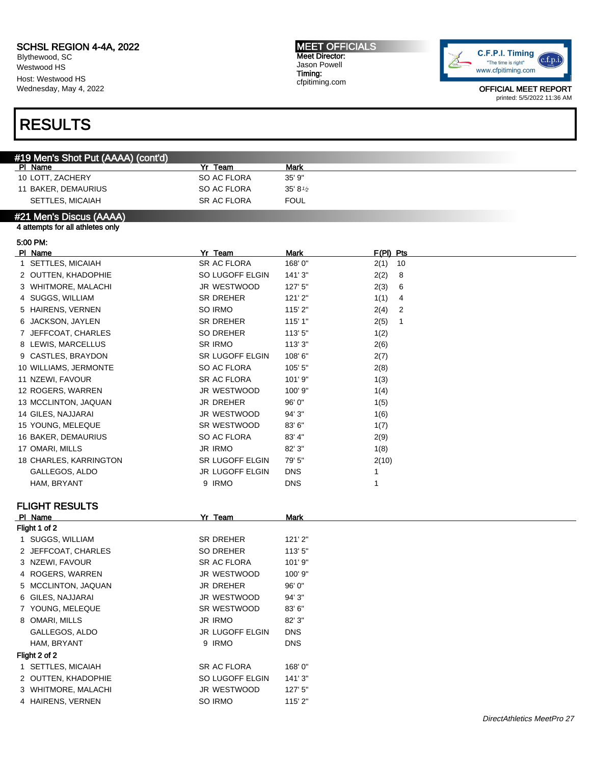#19 Men's Shot Put (AAAA) (cont'd)

PI Name **Mark** Mark **Property Server All Accords** Mark Mark **Mark** 

4 ROGERS, WARREN JR WESTWOOD 100' 9" 5 MCCLINTON, JAQUAN JR DREHER 96' 0" 6 GILES, NAJJARAI JR WESTWOOD 94' 3" 7 YOUNG, MELEQUE **SR WESTWOOD** 83' 6" 8 OMARI, MILLS JR IRMO 82' 3" GALLEGOS, ALDO JR LUGOFF ELGIN DNS HAM, BRYANT 9 IRMO DNS

1 SETTLES, MICAIAH SR AC FLORA 168' 0" 2 OUTTEN, KHADOPHIE SO LUGOFF ELGIN 141' 3" 3 WHITMORE, MALACHI JR WESTWOOD 127' 5" 4 HAIRENS, VERNEN SO IRMO 115' 2"

Blythewood, SC Westwood HS Host: Westwood HS Wednesday, May 4, 2022

### RESULTS

Flight 2 of 2

MEET OFFICIALS Meet Director: Jason Powell Timing: cfpitiming.com



| 10 LOTT, ZACHERY                                            | SO AC FLORA        | 35' 9"             |                        |
|-------------------------------------------------------------|--------------------|--------------------|------------------------|
| 11 BAKER, DEMAURIUS                                         | SO AC FLORA        | 35' $8\frac{1}{2}$ |                        |
| <b>SETTLES, MICAIAH</b>                                     | SR AC FLORA        | <b>FOUL</b>        |                        |
| #21 Men's Discus (AAAA)<br>4 attempts for all athletes only |                    |                    |                        |
|                                                             |                    |                    |                        |
| 5:00 PM:<br>PI Name                                         | Yr Team            | <b>Mark</b>        | $F(PI)$ Pts            |
| 1 SETTLES, MICAIAH                                          | SR AC FLORA        | 168'0"             | $2(1)$ 10              |
| 2 OUTTEN, KHADOPHIE                                         | SO LUGOFF ELGIN    | 141'3"             | 2(2)<br>8              |
| 3 WHITMORE, MALACHI                                         | JR WESTWOOD        | 127' 5"            | 2(3)<br>6              |
| 4 SUGGS, WILLIAM                                            | SR DREHER          | 121'2"             | 1(1)<br>4              |
| 5 HAIRENS, VERNEN                                           | SO IRMO            | 115' 2"            | 2(4)<br>$\overline{2}$ |
| 6 JACKSON, JAYLEN                                           | SR DREHER          | 115' 1"            | 2(5)<br>1              |
| 7 JEFFCOAT, CHARLES                                         | SO DREHER          | 113'5"             | 1(2)                   |
| 8 LEWIS, MARCELLUS                                          | SR IRMO            | 113'3''            | 2(6)                   |
| 9 CASTLES, BRAYDON                                          | SR LUGOFF ELGIN    | 108'6"             | 2(7)                   |
| 10 WILLIAMS, JERMONTE                                       | SO AC FLORA        | 105' 5"            | 2(8)                   |
| 11 NZEWI, FAVOUR                                            | SR AC FLORA        | 101'9"             | 1(3)                   |
| 12 ROGERS, WARREN                                           | JR WESTWOOD        | 100' 9"            | 1(4)                   |
| 13 MCCLINTON, JAQUAN                                        | <b>JR DREHER</b>   | 96' 0"             | 1(5)                   |
| 14 GILES, NAJJARAI                                          | JR WESTWOOD        | 94' 3"             | 1(6)                   |
| 15 YOUNG, MELEQUE                                           | SR WESTWOOD        | 83' 6"             | 1(7)                   |
| 16 BAKER, DEMAURIUS                                         | SO AC FLORA        | 83' 4"             | 2(9)                   |
| 17 OMARI, MILLS                                             | <b>JR IRMO</b>     | 82' 3"             | 1(8)                   |
| 18 CHARLES, KARRINGTON                                      | SR LUGOFF ELGIN    | 79' 5"             | 2(10)                  |
| GALLEGOS, ALDO                                              | JR LUGOFF ELGIN    | <b>DNS</b>         | 1                      |
| HAM, BRYANT                                                 | 9 IRMO             | <b>DNS</b>         | 1                      |
| <b>FLIGHT RESULTS</b>                                       |                    |                    |                        |
| PI Name                                                     | Yr Team            | Mark               |                        |
| Flight 1 of 2                                               |                    |                    |                        |
| 1 SUGGS, WILLIAM                                            | SR DREHER          | 121'2"             |                        |
| 2 JEFFCOAT, CHARLES                                         | SO DREHER          | 113'5"             |                        |
| 3 NZEWI, FAVOUR                                             | <b>SR AC FLORA</b> | 101'9"             |                        |